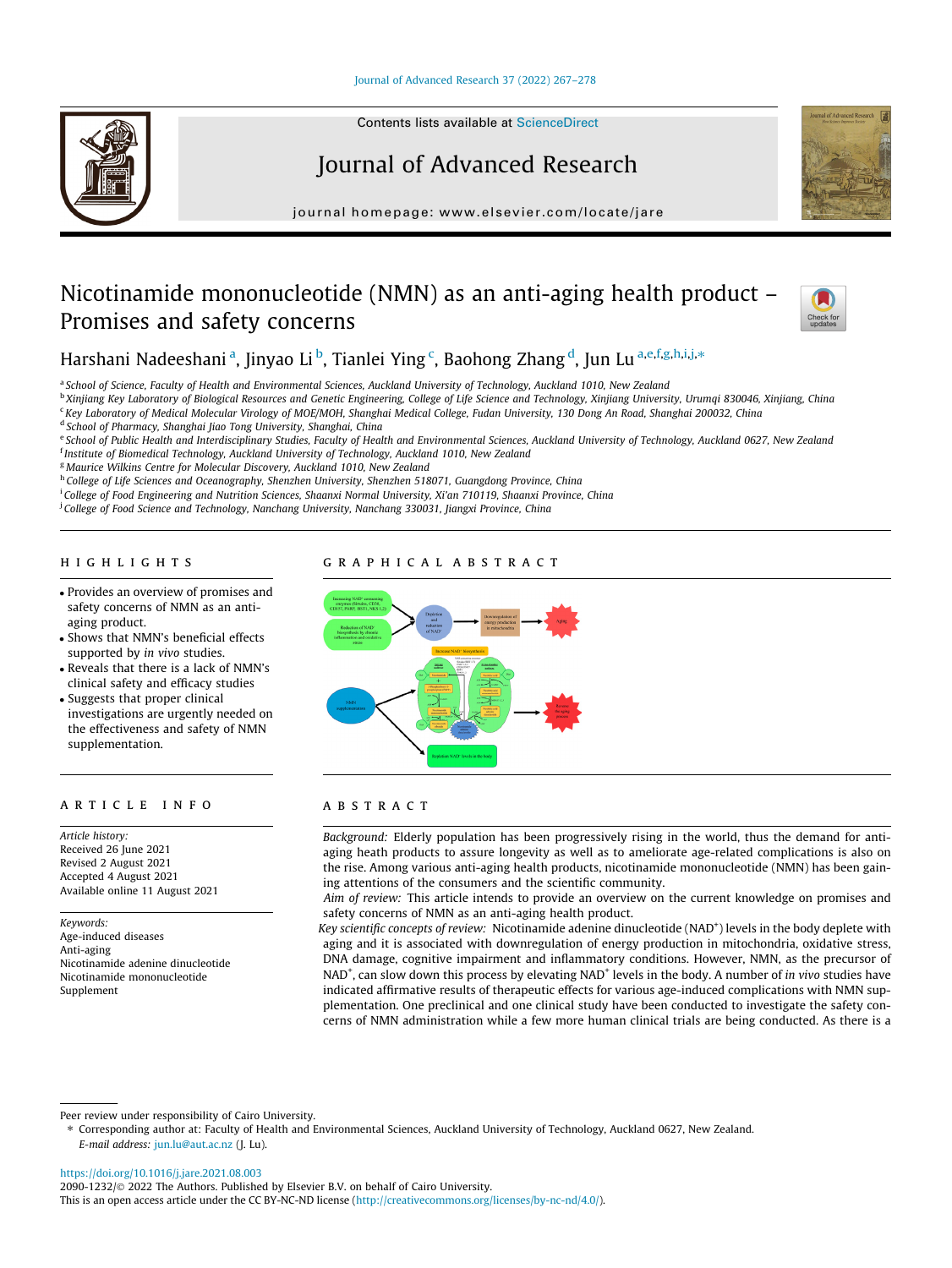# [Journal of Advanced Research 37 \(2022\) 267–278](https://doi.org/10.1016/j.jare.2021.08.003)

# Journal of Advanced Research

journal homepage: [www.elsevier.com/locate/jare](http://www.elsevier.com/locate/jare)

# Nicotinamide mononucleotide (NMN) as an anti-aging health product – Promises and safety concerns



Harshani Nadeeshani <sup>a</sup>, Jinyao Li <sup>b</sup>, Tianlei Ying <sup>c</sup>, Baohong Zhang <sup>d</sup>, Jun Lu <sup>a,e,f,g,h,i,j, $\ast$ </sup>

<sup>a</sup> School of Science, Faculty of Health and Environmental Sciences, Auckland University of Technology, Auckland 1010, New Zealand

<sup>b</sup> Xinjiang Key Laboratory of Biological Resources and Genetic Engineering, College of Life Science and Technology, Xinjiang University, Urumqi 830046, Xinjiang, China <sup>c</sup> Key Laboratory of Medical Molecular Virology of MOE/MOH, Shanghai Medical College, Fudan University, 130 Dong An Road, Shanghai 200032, China

<sup>d</sup> School of Pharmacy, Shanghai Jiao Tong University, Shanghai, China

e School of Public Health and Interdisciplinary Studies, Faculty of Health and Environmental Sciences, Auckland University of Technology, Auckland 0627, New Zealand <sup>f</sup> Institute of Biomedical Technology, Auckland University of Technology, Auckland 1010, New Zealand

<sup>g</sup> Maurice Wilkins Centre for Molecular Discovery, Auckland 1010, New Zealand

h College of Life Sciences and Oceanography, Shenzhen University, Shenzhen 518071, Guangdong Province, China

i College of Food Engineering and Nutrition Sciences, Shaanxi Normal University, Xi'an 710119, Shaanxi Province, China

<sup>j</sup> College of Food Science and Technology, Nanchang University, Nanchang 330031, Jiangxi Province, China

#### **HIGHLIGHTS** highlights are the second control of the second control of the second control of the second control of the second control of the second control of the second control of the second control of the second control of the secon

- Provides an overview of promises and safety concerns of NMN as an antiaging product.
- Shows that NMN's beneficial effects supported by in vivo studies.
- Reveals that there is a lack of NMN's clinical safety and efficacy studies
- Suggests that proper clinical investigations are urgently needed on the effectiveness and safety of NMN supplementation.

Article history: Received 26 June 2021 Revised 2 August 2021 Accepted 4 August 2021 Available online 11 August 2021

Keywords: Age-induced diseases Anti-aging Nicotinamide adenine dinucleotide Nicotinamide mononucleotide Supplement

# GRAPHICAL ABSTRACT



# ARSTRACT

Background: Elderly population has been progressively rising in the world, thus the demand for antiaging heath products to assure longevity as well as to ameliorate age-related complications is also on the rise. Among various anti-aging health products, nicotinamide mononucleotide (NMN) has been gaining attentions of the consumers and the scientific community.

Aim of review: This article intends to provide an overview on the current knowledge on promises and safety concerns of NMN as an anti-aging health product.

Key scientific concepts of review: Nicotinamide adenine dinucleotide (NAD<sup>+</sup>) levels in the body deplete with aging and it is associated with downregulation of energy production in mitochondria, oxidative stress, DNA damage, cognitive impairment and inflammatory conditions. However, NMN, as the precursor of NAD<sup>+</sup>, can slow down this process by elevating NAD<sup>+</sup> levels in the body. A number of in vivo studies have indicated affirmative results of therapeutic effects for various age-induced complications with NMN supplementation. One preclinical and one clinical study have been conducted to investigate the safety concerns of NMN administration while a few more human clinical trials are being conducted. As there is a

Peer review under responsibility of Cairo University.

⇑ Corresponding author at: Faculty of Health and Environmental Sciences, Auckland University of Technology, Auckland 0627, New Zealand. E-mail address: [jun.lu@aut.ac.nz](mailto:jun.lu@aut.ac.nz) (J. Lu).

<https://doi.org/10.1016/j.jare.2021.08.003>

2090-1232/© 2022 The Authors. Published by Elsevier B.V. on behalf of Cairo University.

This is an open access article under the CC BY-NC-ND license ([http://creativecommons.org/licenses/by-nc-nd/4.0/\)](http://creativecommons.org/licenses/by-nc-nd/4.0/).

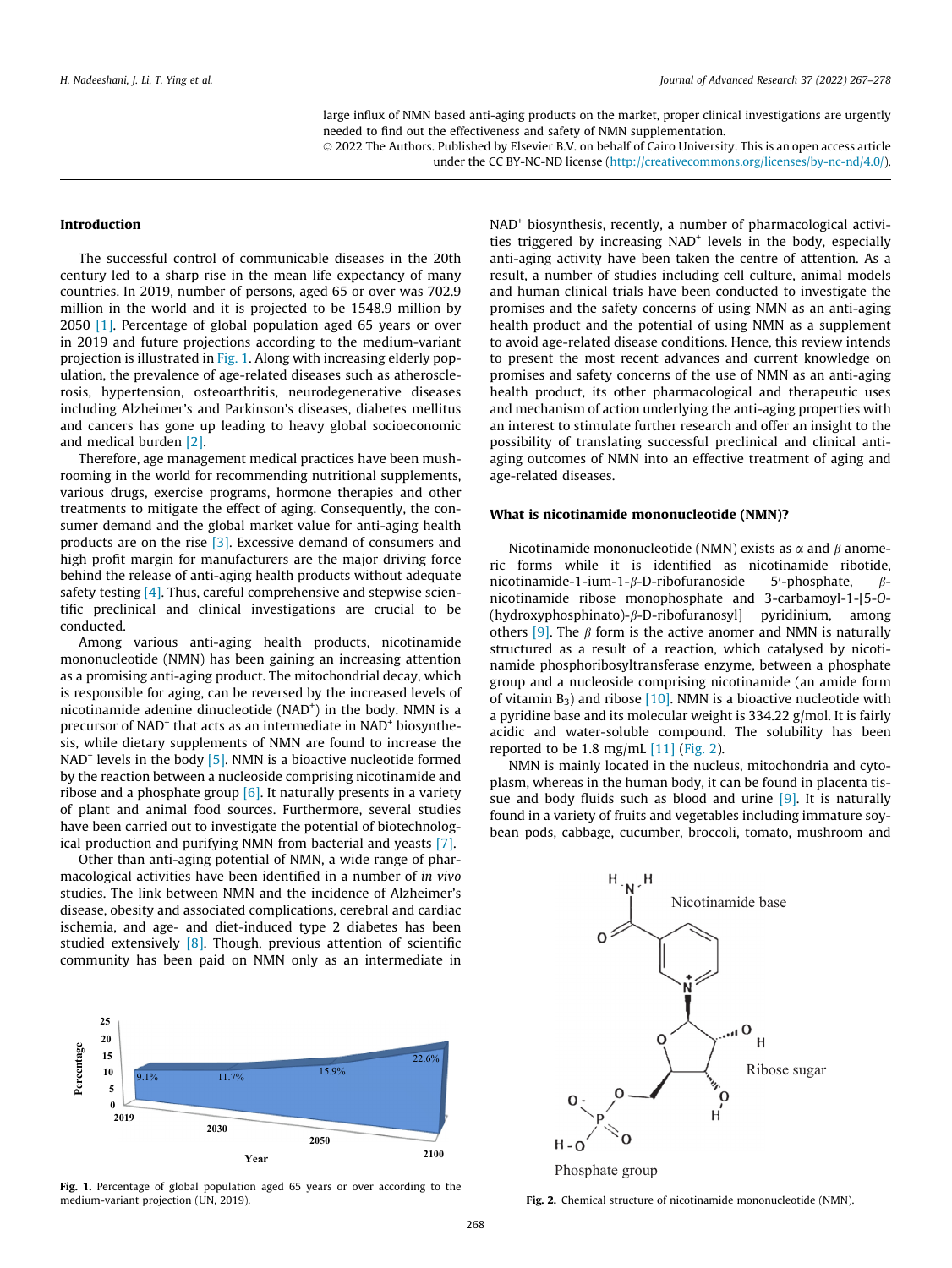large influx of NMN based anti-aging products on the market, proper clinical investigations are urgently needed to find out the effectiveness and safety of NMN supplementation.

 2022 The Authors. Published by Elsevier B.V. on behalf of Cairo University. This is an open access article under the CC BY-NC-ND license (<http://creativecommons.org/licenses/by-nc-nd/4.0/>).

# Introduction

The successful control of communicable diseases in the 20th century led to a sharp rise in the mean life expectancy of many countries. In 2019, number of persons, aged 65 or over was 702.9 million in the world and it is projected to be 1548.9 million by 2050 [\[1\].](#page-9-0) Percentage of global population aged 65 years or over in 2019 and future projections according to the medium-variant projection is illustrated in Fig. 1. Along with increasing elderly population, the prevalence of age-related diseases such as atherosclerosis, hypertension, osteoarthritis, neurodegenerative diseases including Alzheimer's and Parkinson's diseases, diabetes mellitus and cancers has gone up leading to heavy global socioeconomic and medical burden [\[2\]](#page-9-0).

Therefore, age management medical practices have been mushrooming in the world for recommending nutritional supplements, various drugs, exercise programs, hormone therapies and other treatments to mitigate the effect of aging. Consequently, the consumer demand and the global market value for anti-aging health products are on the rise [\[3\]](#page-9-0). Excessive demand of consumers and high profit margin for manufacturers are the major driving force behind the release of anti-aging health products without adequate safety testing [\[4\].](#page-9-0) Thus, careful comprehensive and stepwise scientific preclinical and clinical investigations are crucial to be conducted.

Among various anti-aging health products, nicotinamide mononucleotide (NMN) has been gaining an increasing attention as a promising anti-aging product. The mitochondrial decay, which is responsible for aging, can be reversed by the increased levels of nicotinamide adenine dinucleotide (NAD<sup>+</sup>) in the body. NMN is a precursor of NAD<sup>+</sup> that acts as an intermediate in NAD<sup>+</sup> biosynthesis, while dietary supplements of NMN are found to increase the  $NAD<sup>+</sup>$  levels in the body  $[5]$ . NMN is a bioactive nucleotide formed by the reaction between a nucleoside comprising nicotinamide and ribose and a phosphate group  $[6]$ . It naturally presents in a variety of plant and animal food sources. Furthermore, several studies have been carried out to investigate the potential of biotechnological production and purifying NMN from bacterial and yeasts [\[7\].](#page-9-0)

Other than anti-aging potential of NMN, a wide range of pharmacological activities have been identified in a number of in vivo studies. The link between NMN and the incidence of Alzheimer's disease, obesity and associated complications, cerebral and cardiac ischemia, and age- and diet-induced type 2 diabetes has been studied extensively [\[8\]](#page-9-0). Though, previous attention of scientific community has been paid on NMN only as an intermediate in



Fig. 1. Percentage of global population aged 65 years or over according to the medium-variant projection (UN, 2019).

NAD<sup>+</sup> biosynthesis, recently, a number of pharmacological activities triggered by increasing NAD<sup>+</sup> levels in the body, especially anti-aging activity have been taken the centre of attention. As a result, a number of studies including cell culture, animal models and human clinical trials have been conducted to investigate the promises and the safety concerns of using NMN as an anti-aging health product and the potential of using NMN as a supplement to avoid age-related disease conditions. Hence, this review intends to present the most recent advances and current knowledge on promises and safety concerns of the use of NMN as an anti-aging health product, its other pharmacological and therapeutic uses and mechanism of action underlying the anti-aging properties with an interest to stimulate further research and offer an insight to the possibility of translating successful preclinical and clinical antiaging outcomes of NMN into an effective treatment of aging and age-related diseases.

#### What is nicotinamide mononucleotide (NMN)?

Nicotinamide mononucleotide (NMN) exists as  $\alpha$  and  $\beta$  anomeric forms while it is identified as nicotinamide ribotide, nicotinamide-1-ium-1- $\beta$ -D-ribofuranoside 5'-phosphate,  $\beta$ nicotinamide ribose monophosphate and 3-carbamoyl-1-[5-O-  $(hydroxyphosphinato)-\beta-D-ribofuranosyl]$  pyridinium, among others [\[9\].](#page-9-0) The  $\beta$  form is the active anomer and NMN is naturally structured as a result of a reaction, which catalysed by nicotinamide phosphoribosyltransferase enzyme, between a phosphate group and a nucleoside comprising nicotinamide (an amide form of vitamin  $B_3$ ) and ribose  $[10]$ . NMN is a bioactive nucleotide with a pyridine base and its molecular weight is 334.22 g/mol. It is fairly acidic and water-soluble compound. The solubility has been reported to be  $1.8 \text{ mg/mL}$  [\[11\]](#page-9-0) (Fig. 2).

NMN is mainly located in the nucleus, mitochondria and cytoplasm, whereas in the human body, it can be found in placenta tis-sue and body fluids such as blood and urine [\[9\]](#page-9-0). It is naturally found in a variety of fruits and vegetables including immature soybean pods, cabbage, cucumber, broccoli, tomato, mushroom and



Phosphate group

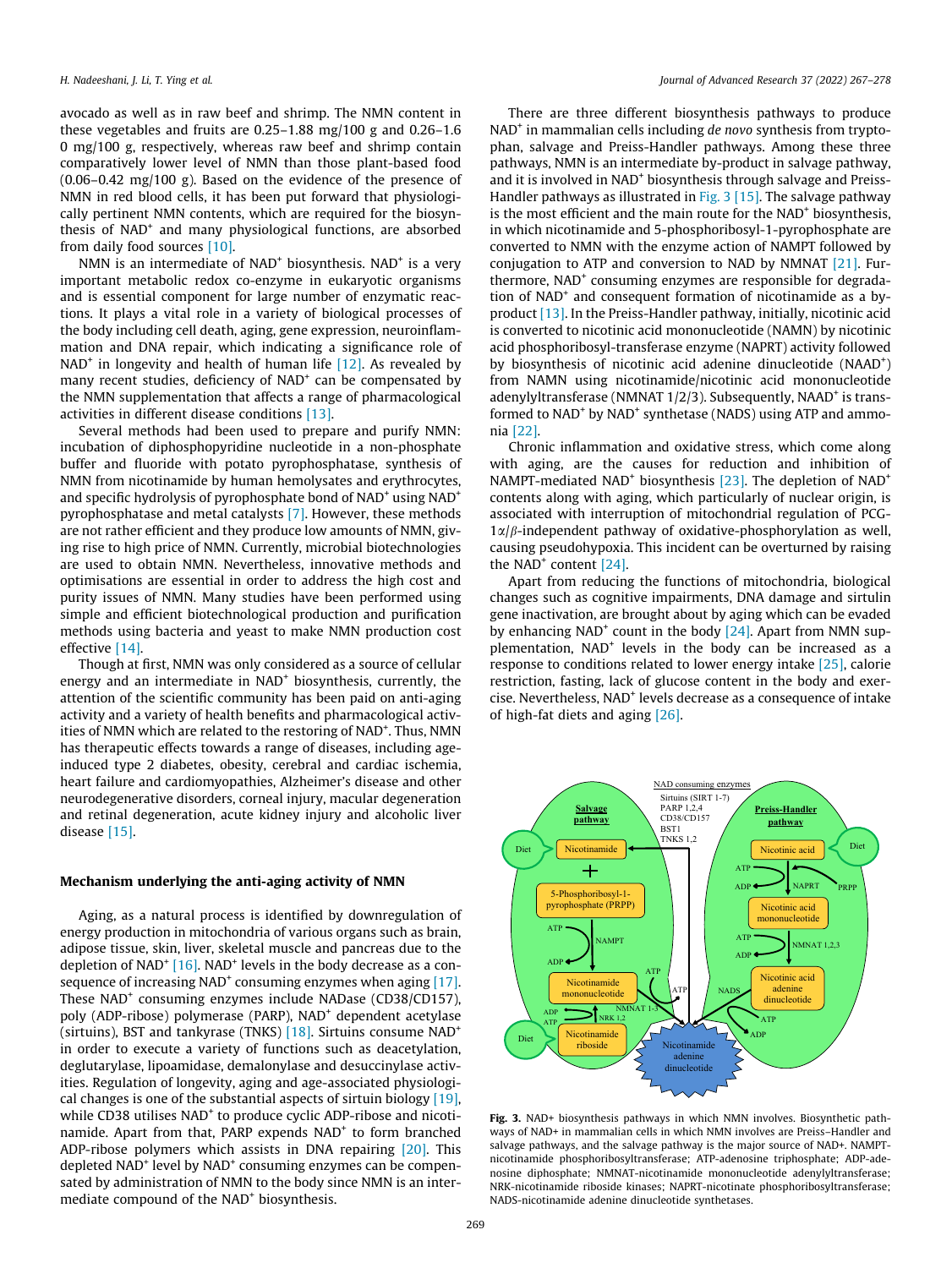avocado as well as in raw beef and shrimp. The NMN content in these vegetables and fruits are 0.25–1.88 mg/100 g and 0.26–1.6 0 mg/100 g, respectively, whereas raw beef and shrimp contain comparatively lower level of NMN than those plant-based food (0.06–0.42 mg/100 g). Based on the evidence of the presence of NMN in red blood cells, it has been put forward that physiologically pertinent NMN contents, which are required for the biosynthesis of NAD<sup>+</sup> and many physiological functions, are absorbed from daily food sources [\[10\]](#page-9-0).

NMN is an intermediate of  $NAD<sup>+</sup>$  biosynthesis.  $NAD<sup>+</sup>$  is a very important metabolic redox co-enzyme in eukaryotic organisms and is essential component for large number of enzymatic reactions. It plays a vital role in a variety of biological processes of the body including cell death, aging, gene expression, neuroinflammation and DNA repair, which indicating a significance role of  $NAD<sup>+</sup>$  in longevity and health of human life [\[12\]](#page-9-0). As revealed by many recent studies, deficiency of NAD<sup>+</sup> can be compensated by the NMN supplementation that affects a range of pharmacological activities in different disease conditions [\[13\]](#page-9-0).

Several methods had been used to prepare and purify NMN: incubation of diphosphopyridine nucleotide in a non-phosphate buffer and fluoride with potato pyrophosphatase, synthesis of NMN from nicotinamide by human hemolysates and erythrocytes, and specific hydrolysis of pyrophosphate bond of  $NAD^+$  using  $NAD^+$ pyrophosphatase and metal catalysts [\[7\].](#page-9-0) However, these methods are not rather efficient and they produce low amounts of NMN, giving rise to high price of NMN. Currently, microbial biotechnologies are used to obtain NMN. Nevertheless, innovative methods and optimisations are essential in order to address the high cost and purity issues of NMN. Many studies have been performed using simple and efficient biotechnological production and purification methods using bacteria and yeast to make NMN production cost effective [\[14\].](#page-9-0)

Though at first, NMN was only considered as a source of cellular energy and an intermediate in NAD<sup>+</sup> biosynthesis, currently, the attention of the scientific community has been paid on anti-aging activity and a variety of health benefits and pharmacological activities of NMN which are related to the restoring of NAD<sup>+</sup>. Thus, NMN has therapeutic effects towards a range of diseases, including ageinduced type 2 diabetes, obesity, cerebral and cardiac ischemia, heart failure and cardiomyopathies, Alzheimer's disease and other neurodegenerative disorders, corneal injury, macular degeneration and retinal degeneration, acute kidney injury and alcoholic liver disease [\[15\]](#page-9-0).

# Mechanism underlying the anti-aging activity of NMN

Aging, as a natural process is identified by downregulation of energy production in mitochondria of various organs such as brain, adipose tissue, skin, liver, skeletal muscle and pancreas due to the depletion of NAD<sup>+</sup>  $[16]$ . NAD<sup>+</sup> levels in the body decrease as a consequence of increasing  $NAD<sup>+</sup>$  consuming enzymes when aging [\[17\].](#page-9-0) These NAD<sup>+</sup> consuming enzymes include NADase (CD38/CD157), poly (ADP-ribose) polymerase (PARP), NAD<sup>+</sup> dependent acetylase (sirtuins), BST and tankyrase (TNKS) [\[18\].](#page-9-0) Sirtuins consume NAD<sup>+</sup> in order to execute a variety of functions such as deacetylation, deglutarylase, lipoamidase, demalonylase and desuccinylase activities. Regulation of longevity, aging and age-associated physiological changes is one of the substantial aspects of sirtuin biology [\[19\],](#page-9-0) while CD38 utilises NAD<sup>+</sup> to produce cyclic ADP-ribose and nicotinamide. Apart from that, PARP expends NAD<sup>+</sup> to form branched ADP-ribose polymers which assists in DNA repairing [\[20\].](#page-9-0) This depleted NAD<sup>+</sup> level by NAD<sup>+</sup> consuming enzymes can be compensated by administration of NMN to the body since NMN is an intermediate compound of the NAD<sup>+</sup> biosynthesis.

There are three different biosynthesis pathways to produce NAD<sup>+</sup> in mammalian cells including *de novo* synthesis from tryptophan, salvage and Preiss-Handler pathways. Among these three pathways, NMN is an intermediate by-product in salvage pathway, and it is involved in NAD<sup>+</sup> biosynthesis through salvage and Preiss-Handler pathways as illustrated in Fig. 3 [\[15\]](#page-9-0). The salvage pathway is the most efficient and the main route for the NAD<sup>+</sup> biosynthesis, in which nicotinamide and 5-phosphoribosyl-1-pyrophosphate are converted to NMN with the enzyme action of NAMPT followed by conjugation to ATP and conversion to NAD by NMNAT [\[21\].](#page-9-0) Furthermore, NAD<sup>+</sup> consuming enzymes are responsible for degradation of NAD<sup>+</sup> and consequent formation of nicotinamide as a byproduct [\[13\]](#page-9-0). In the Preiss-Handler pathway, initially, nicotinic acid is converted to nicotinic acid mononucleotide (NAMN) by nicotinic acid phosphoribosyl-transferase enzyme (NAPRT) activity followed by biosynthesis of nicotinic acid adenine dinucleotide (NAAD<sup>+</sup>) from NAMN using nicotinamide/nicotinic acid mononucleotide adenylyltransferase (NMNAT  $1/2/3$ ). Subsequently, NAAD<sup>+</sup> is transformed to NAD<sup>+</sup> by NAD<sup>+</sup> synthetase (NADS) using ATP and ammonia [\[22\]](#page-9-0).

Chronic inflammation and oxidative stress, which come along with aging, are the causes for reduction and inhibition of NAMPT-mediated NAD<sup>+</sup> biosynthesis [\[23\].](#page-9-0) The depletion of NAD<sup>+</sup> contents along with aging, which particularly of nuclear origin, is associated with interruption of mitochondrial regulation of PCG- $1\alpha/\beta$ -independent pathway of oxidative-phosphorylation as well, causing pseudohypoxia. This incident can be overturned by raising the NAD<sup>+</sup> content  $[24]$ .

Apart from reducing the functions of mitochondria, biological changes such as cognitive impairments, DNA damage and sirtulin gene inactivation, are brought about by aging which can be evaded by enhancing NAD<sup>+</sup> count in the body  $[24]$ . Apart from NMN supplementation, NAD<sup>+</sup> levels in the body can be increased as a response to conditions related to lower energy intake [\[25\],](#page-9-0) calorie restriction, fasting, lack of glucose content in the body and exercise. Nevertheless, NAD+ levels decrease as a consequence of intake of high-fat diets and aging [\[26\].](#page-9-0)



Fig. 3. NAD+ biosynthesis pathways in which NMN involves. Biosynthetic pathways of NAD+ in mammalian cells in which NMN involves are Preiss–Handler and salvage pathways, and the salvage pathway is the major source of NAD+. NAMPTnicotinamide phosphoribosyltransferase; ATP-adenosine triphosphate; ADP-adenosine diphosphate; NMNAT-nicotinamide mononucleotide adenylyltransferase; NRK-nicotinamide riboside kinases; NAPRT-nicotinate phosphoribosyltransferase; NADS-nicotinamide adenine dinucleotide synthetases.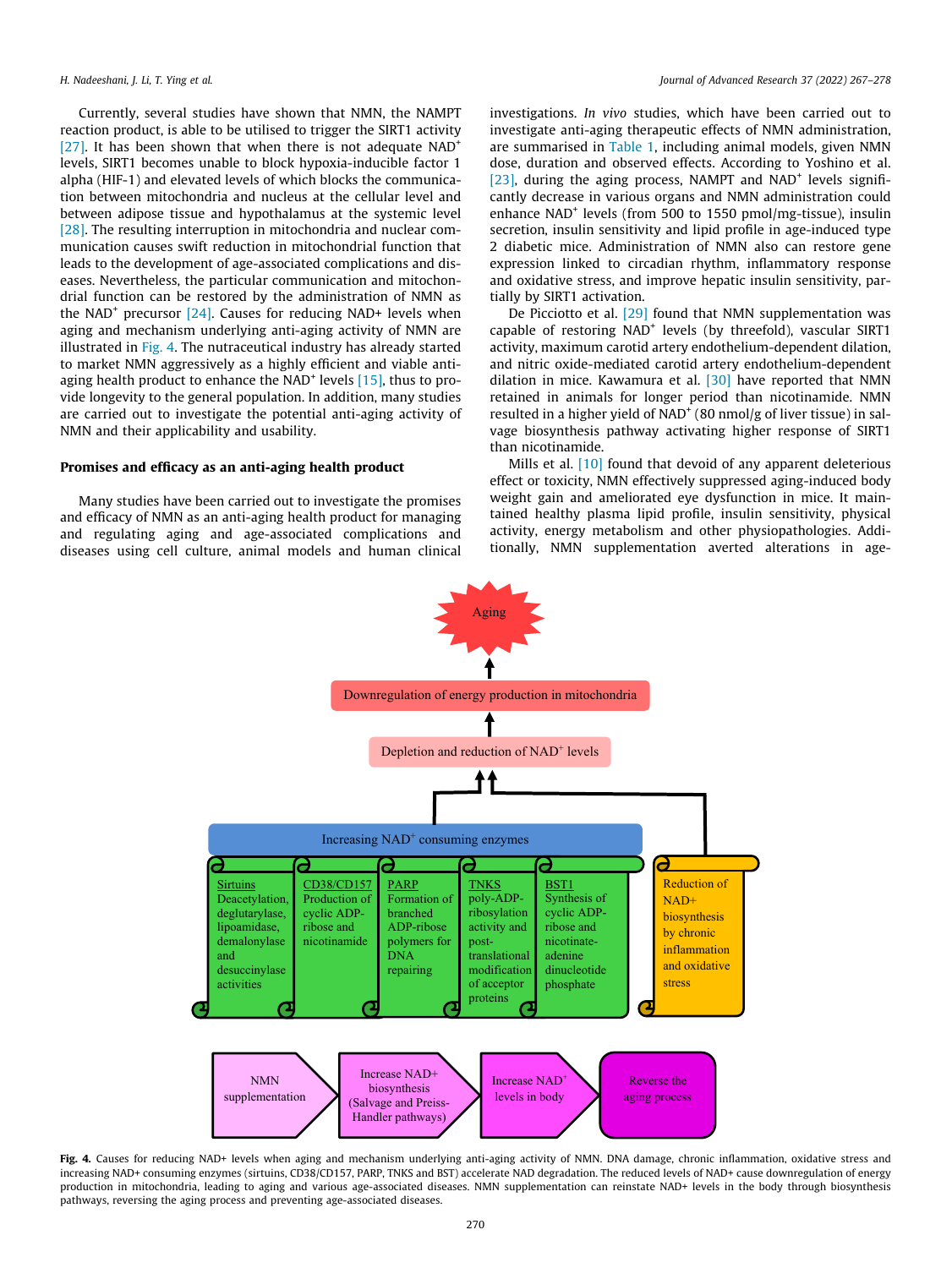Currently, several studies have shown that NMN, the NAMPT reaction product, is able to be utilised to trigger the SIRT1 activity [\[27\]](#page-9-0). It has been shown that when there is not adequate  $NAD^+$ levels, SIRT1 becomes unable to block hypoxia-inducible factor 1 alpha (HIF-1) and elevated levels of which blocks the communication between mitochondria and nucleus at the cellular level and between adipose tissue and hypothalamus at the systemic level [\[28\]](#page-9-0). The resulting interruption in mitochondria and nuclear communication causes swift reduction in mitochondrial function that leads to the development of age-associated complications and diseases. Nevertheless, the particular communication and mitochondrial function can be restored by the administration of NMN as the NAD<sup>+</sup> precursor  $[24]$ . Causes for reducing NAD+ levels when aging and mechanism underlying anti-aging activity of NMN are illustrated in Fig. 4. The nutraceutical industry has already started to market NMN aggressively as a highly efficient and viable antiaging health product to enhance the NAD<sup>+</sup> levels  $[15]$ , thus to provide longevity to the general population. In addition, many studies are carried out to investigate the potential anti-aging activity of NMN and their applicability and usability.

# Promises and efficacy as an anti-aging health product

Many studies have been carried out to investigate the promises and efficacy of NMN as an anti-aging health product for managing and regulating aging and age-associated complications and diseases using cell culture, animal models and human clinical investigations. In vivo studies, which have been carried out to investigate anti-aging therapeutic effects of NMN administration, are summarised in [Table 1,](#page-4-0) including animal models, given NMN dose, duration and observed effects. According to Yoshino et al. [\[23\]](#page-9-0), during the aging process, NAMPT and NAD<sup>+</sup> levels significantly decrease in various organs and NMN administration could enhance NAD<sup>+</sup> levels (from 500 to 1550 pmol/mg-tissue), insulin secretion, insulin sensitivity and lipid profile in age-induced type 2 diabetic mice. Administration of NMN also can restore gene expression linked to circadian rhythm, inflammatory response and oxidative stress, and improve hepatic insulin sensitivity, partially by SIRT1 activation.

De Picciotto et al. [\[29\]](#page-9-0) found that NMN supplementation was capable of restoring NAD<sup>+</sup> levels (by threefold), vascular SIRT1 activity, maximum carotid artery endothelium-dependent dilation, and nitric oxide-mediated carotid artery endothelium-dependent dilation in mice. Kawamura et al. [\[30\]](#page-9-0) have reported that NMN retained in animals for longer period than nicotinamide. NMN resulted in a higher yield of NAD<sup>+</sup> (80 nmol/g of liver tissue) in salvage biosynthesis pathway activating higher response of SIRT1 than nicotinamide.

Mills et al. [\[10\]](#page-9-0) found that devoid of any apparent deleterious effect or toxicity, NMN effectively suppressed aging-induced body weight gain and ameliorated eye dysfunction in mice. It maintained healthy plasma lipid profile, insulin sensitivity, physical activity, energy metabolism and other physiopathologies. Additionally, NMN supplementation averted alterations in age-



Fig. 4. Causes for reducing NAD+ levels when aging and mechanism underlying anti-aging activity of NMN. DNA damage, chronic inflammation, oxidative stress and increasing NAD+ consuming enzymes (sirtuins, CD38/CD157, PARP, TNKS and BST) accelerate NAD degradation. The reduced levels of NAD+ cause downregulation of energy production in mitochondria, leading to aging and various age-associated diseases. NMN supplementation can reinstate NAD+ levels in the body through biosynthesis pathways, reversing the aging process and preventing age-associated diseases.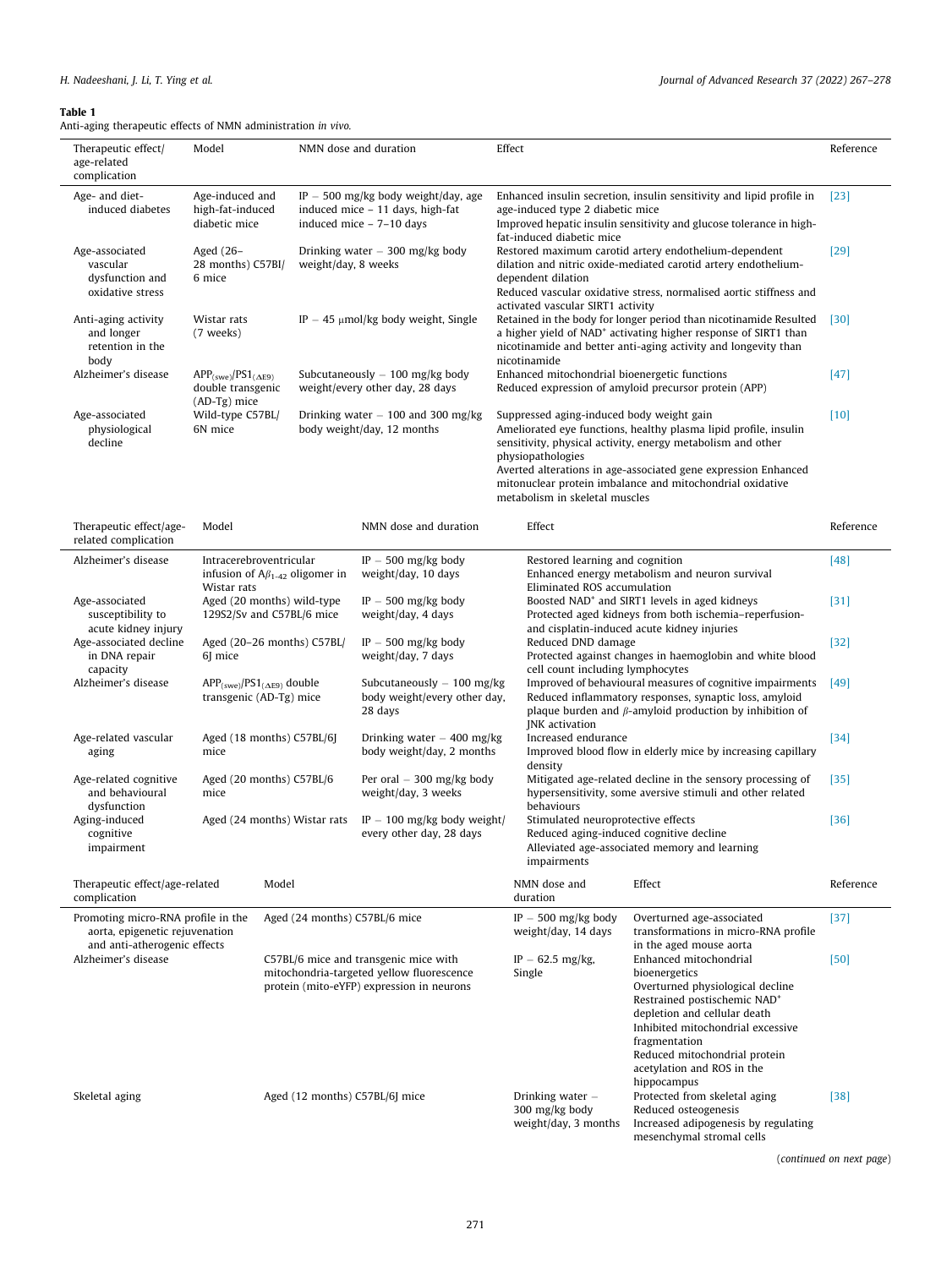# <span id="page-4-0"></span>Table 1

Anti-aging therapeutic effects of NMN administration in vivo.

| Therapeutic effect/<br>age-related<br>complication                                                                | Model                                                                | NMN dose and duration                                                                                                                                                                                   |                                                                                                       | Effect                                                                                                                                                                                                                                                   |                                                                                                                                                                                                                                                                                                                                                                                                                                                                            |                                                                                                                            | Reference |
|-------------------------------------------------------------------------------------------------------------------|----------------------------------------------------------------------|---------------------------------------------------------------------------------------------------------------------------------------------------------------------------------------------------------|-------------------------------------------------------------------------------------------------------|----------------------------------------------------------------------------------------------------------------------------------------------------------------------------------------------------------------------------------------------------------|----------------------------------------------------------------------------------------------------------------------------------------------------------------------------------------------------------------------------------------------------------------------------------------------------------------------------------------------------------------------------------------------------------------------------------------------------------------------------|----------------------------------------------------------------------------------------------------------------------------|-----------|
| Age- and diet-<br>induced diabetes                                                                                | Age-induced and<br>high-fat-induced<br>diabetic mice                 |                                                                                                                                                                                                         | $IP - 500$ mg/kg body weight/day, age<br>induced mice - 11 days, high-fat<br>induced mice - 7-10 days | Enhanced insulin secretion, insulin sensitivity and lipid profile in<br>age-induced type 2 diabetic mice<br>Improved hepatic insulin sensitivity and glucose tolerance in high-<br>fat-induced diabetic mice                                             |                                                                                                                                                                                                                                                                                                                                                                                                                                                                            | [23]                                                                                                                       |           |
| Age-associated<br>vascular<br>dysfunction and<br>oxidative stress                                                 | Aged (26-<br>28 months) C57BI/<br>6 mice                             | weight/day, 8 weeks                                                                                                                                                                                     | Drinking water $-300$ mg/kg body                                                                      | Restored maximum carotid artery endothelium-dependent<br>dilation and nitric oxide-mediated carotid artery endothelium-<br>dependent dilation<br>Reduced vascular oxidative stress, normalised aortic stiffness and<br>activated vascular SIRT1 activity |                                                                                                                                                                                                                                                                                                                                                                                                                                                                            |                                                                                                                            | $[29]$    |
| Anti-aging activity<br>and longer<br>retention in the<br>body                                                     | Wistar rats<br>(7 weeks)                                             |                                                                                                                                                                                                         | IP $-$ 45 $\mu$ mol/kg body weight, Single                                                            | Retained in the body for longer period than nicotinamide Resulted<br>a higher yield of NAD <sup>+</sup> activating higher response of SIRT1 than<br>nicotinamide and better anti-aging activity and longevity than<br>nicotinamide                       |                                                                                                                                                                                                                                                                                                                                                                                                                                                                            |                                                                                                                            | $[30]$    |
| Alzheimer's disease                                                                                               | $APP_{(swe)}/PS1_{(\Delta E9)}$<br>double transgenic<br>(AD-Tg) mice | Subcutaneously $-100$ mg/kg body<br>weight/every other day, 28 days                                                                                                                                     |                                                                                                       |                                                                                                                                                                                                                                                          | Enhanced mitochondrial bioenergetic functions<br>Reduced expression of amyloid precursor protein (APP)                                                                                                                                                                                                                                                                                                                                                                     |                                                                                                                            |           |
| Age-associated<br>physiological<br>decline                                                                        | Wild-type C57BL/<br>6N mice                                          | Drinking water $-100$ and 300 mg/kg<br>body weight/day, 12 months                                                                                                                                       |                                                                                                       |                                                                                                                                                                                                                                                          | Suppressed aging-induced body weight gain<br>Ameliorated eye functions, healthy plasma lipid profile, insulin<br>sensitivity, physical activity, energy metabolism and other<br>physiopathologies<br>Averted alterations in age-associated gene expression Enhanced<br>mitonuclear protein imbalance and mitochondrial oxidative<br>metabolism in skeletal muscles                                                                                                         |                                                                                                                            | $[10]$    |
| Therapeutic effect/age-<br>related complication                                                                   | Model                                                                |                                                                                                                                                                                                         | NMN dose and duration                                                                                 | Effect                                                                                                                                                                                                                                                   |                                                                                                                                                                                                                                                                                                                                                                                                                                                                            |                                                                                                                            | Reference |
| Alzheimer's disease                                                                                               | Wistar rats                                                          | Intracerebroventricular<br>$IP - 500$ mg/kg body<br>Restored learning and cognition<br>Enhanced energy metabolism and neuron survival<br>infusion of $A\beta_{1-42}$ oligomer in<br>weight/day, 10 days |                                                                                                       |                                                                                                                                                                                                                                                          | $[48]$                                                                                                                                                                                                                                                                                                                                                                                                                                                                     |                                                                                                                            |           |
| Age-associated<br>susceptibility to<br>acute kidney injury<br>Age-associated decline<br>in DNA repair<br>capacity | Aged (20 months) wild-type<br>129S2/Sv and C57BL/6 mice              |                                                                                                                                                                                                         | $IP - 500$ mg/kg body<br>weight/day, 4 days                                                           |                                                                                                                                                                                                                                                          | Eliminated ROS accumulation<br>Boosted NAD <sup>+</sup> and SIRT1 levels in aged kidneys<br>Protected aged kidneys from both ischemia-reperfusion-<br>and cisplatin-induced acute kidney injuries<br>Reduced DND damage<br>Protected against changes in haemoglobin and white blood<br>cell count including lymphocytes                                                                                                                                                    |                                                                                                                            | $[31]$    |
|                                                                                                                   | Aged (20-26 months) C57BL/<br>6] mice                                |                                                                                                                                                                                                         | $IP - 500$ mg/kg body<br>weight/day, 7 days                                                           |                                                                                                                                                                                                                                                          |                                                                                                                                                                                                                                                                                                                                                                                                                                                                            |                                                                                                                            | $[32]$    |
| Alzheimer's disease                                                                                               | $APP_{(swe)}/PS1_{(\Delta E9)}$ double<br>transgenic (AD-Tg) mice    |                                                                                                                                                                                                         | Subcutaneously – 100 mg/kg<br>body weight/every other day,<br>28 days                                 |                                                                                                                                                                                                                                                          | Improved of behavioural measures of cognitive impairments<br>Reduced inflammatory responses, synaptic loss, amyloid<br>plaque burden and $\beta$ -amyloid production by inhibition of<br>JNK activation                                                                                                                                                                                                                                                                    |                                                                                                                            |           |
| Age-related vascular<br>aging                                                                                     | Aged (18 months) C57BL/6J<br>mice                                    |                                                                                                                                                                                                         | Drinking water $-$ 400 mg/kg<br>body weight/day, 2 months                                             | density                                                                                                                                                                                                                                                  | Increased endurance<br>Improved blood flow in elderly mice by increasing capillary                                                                                                                                                                                                                                                                                                                                                                                         |                                                                                                                            | $[34]$    |
| Age-related cognitive<br>and behavioural<br>dysfunction                                                           | Aged (20 months) C57BL/6<br>mice                                     |                                                                                                                                                                                                         | Per oral – 300 mg/kg body<br>weight/day, 3 weeks                                                      |                                                                                                                                                                                                                                                          | Mitigated age-related decline in the sensory processing of<br>hypersensitivity, some aversive stimuli and other related<br>behaviours                                                                                                                                                                                                                                                                                                                                      |                                                                                                                            | $[35]$    |
| Aging-induced<br>cognitive<br>impairment                                                                          | Aged (24 months) Wistar rats                                         |                                                                                                                                                                                                         | IP $-$ 100 mg/kg body weight/<br>every other day, 28 days                                             | Stimulated neuroprotective effects<br>Reduced aging-induced cognitive decline<br>Alleviated age-associated memory and learning<br>impairments                                                                                                            |                                                                                                                                                                                                                                                                                                                                                                                                                                                                            |                                                                                                                            | $[36]$    |
| Therapeutic effect/age-related<br>complication                                                                    | Model                                                                |                                                                                                                                                                                                         |                                                                                                       | NMN dose and<br>duration                                                                                                                                                                                                                                 |                                                                                                                                                                                                                                                                                                                                                                                                                                                                            | Effect                                                                                                                     | Reference |
| Promoting micro-RNA profile in the<br>aorta, epigenetic rejuvenation<br>and anti-atherogenic effects              |                                                                      | Aged (24 months) C57BL/6 mice                                                                                                                                                                           |                                                                                                       |                                                                                                                                                                                                                                                          | IP $-500$ mg/kg body<br>Overturned age-associated<br>transformations in micro-RNA profile<br>weight/day, 14 days<br>in the aged mouse aorta<br>Enhanced mitochondrial<br>$IP - 62.5$ mg/kg,<br>bioenergetics<br>Single<br>Overturned physiological decline<br>Restrained postischemic NAD <sup>+</sup><br>depletion and cellular death<br>Inhibited mitochondrial excessive<br>fragmentation<br>Reduced mitochondrial protein<br>acetylation and ROS in the<br>hippocampus |                                                                                                                            | $[37]$    |
| Alzheimer's disease                                                                                               |                                                                      | C57BL/6 mice and transgenic mice with<br>mitochondria-targeted yellow fluorescence<br>protein (mito-eYFP) expression in neurons                                                                         |                                                                                                       |                                                                                                                                                                                                                                                          |                                                                                                                                                                                                                                                                                                                                                                                                                                                                            |                                                                                                                            | $[50]$    |
| Skeletal aging                                                                                                    |                                                                      | Aged (12 months) C57BL/6J mice                                                                                                                                                                          |                                                                                                       | Drinking water –<br>300 mg/kg body                                                                                                                                                                                                                       | weight/day, 3 months                                                                                                                                                                                                                                                                                                                                                                                                                                                       | Protected from skeletal aging<br>Reduced osteogenesis<br>Increased adipogenesis by regulating<br>mesenchymal stromal cells | $[38]$    |

(continued on next page)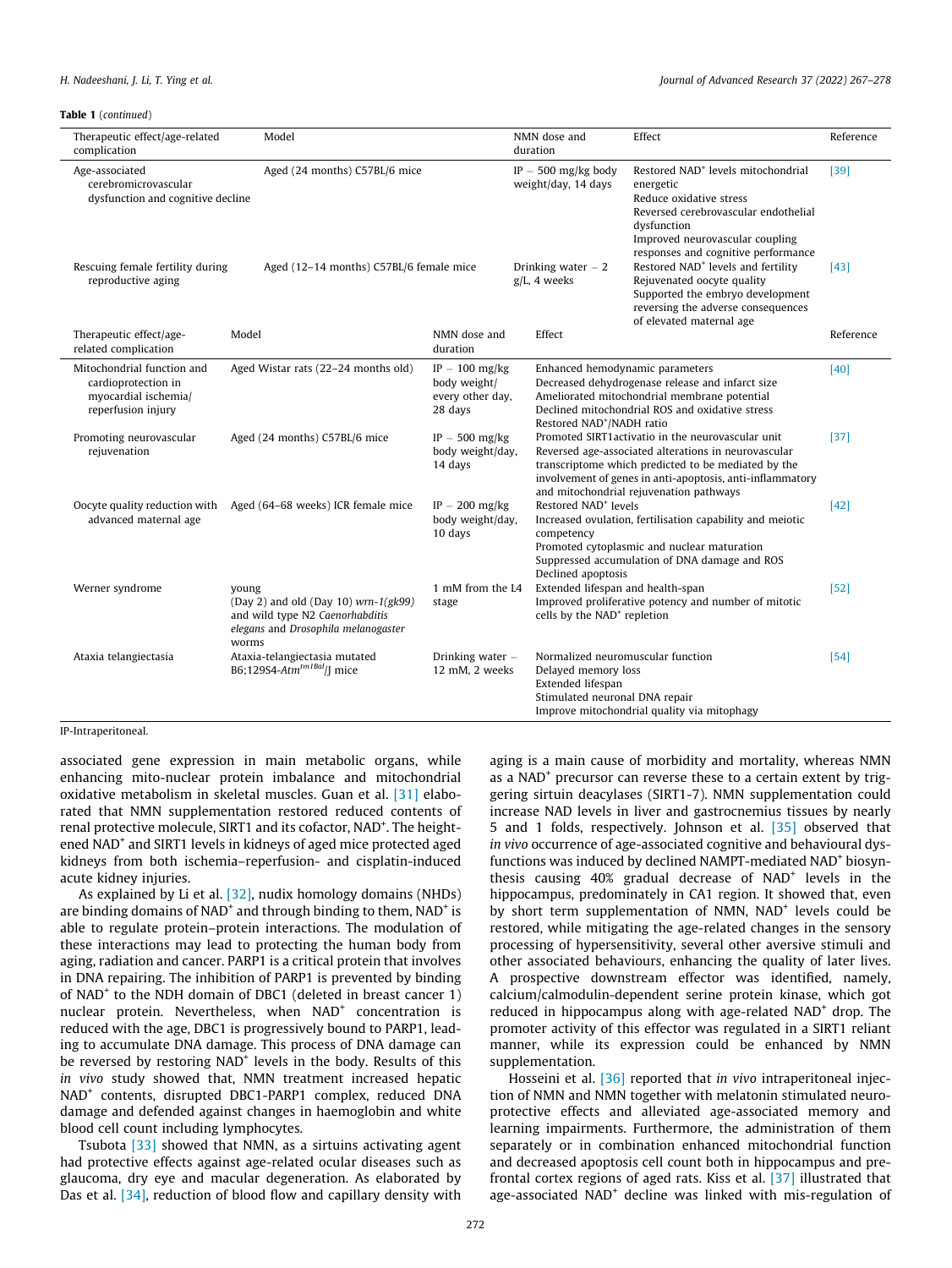Table 1 (continued)

| Therapeutic effect/age-related<br>complication                                                  | Model                                                                                                                              |                                                                 | NMN dose and<br>duration                                                                                                                                                                                                | Effect                                                                                                                                                                                                                                                                    | Reference |
|-------------------------------------------------------------------------------------------------|------------------------------------------------------------------------------------------------------------------------------------|-----------------------------------------------------------------|-------------------------------------------------------------------------------------------------------------------------------------------------------------------------------------------------------------------------|---------------------------------------------------------------------------------------------------------------------------------------------------------------------------------------------------------------------------------------------------------------------------|-----------|
| Age-associated<br>cerebromicrovascular<br>dysfunction and cognitive decline                     |                                                                                                                                    | IP $-500$ mg/kg body<br>weight/day, 14 days                     | Restored NAD <sup>+</sup> levels mitochondrial<br>energetic<br>Reduce oxidative stress<br>Reversed cerebrovascular endothelial<br>dysfunction<br>Improved neurovascular coupling<br>responses and cognitive performance | $[39]$                                                                                                                                                                                                                                                                    |           |
| Rescuing female fertility during<br>reproductive aging                                          | Aged (12-14 months) C57BL/6 female mice                                                                                            | Drinking water $-2$<br>g/L, 4 weeks                             | Restored NAD <sup>+</sup> levels and fertility<br>Rejuvenated oocyte quality<br>Supported the embryo development<br>reversing the adverse consequences<br>of elevated maternal age                                      | $[43]$                                                                                                                                                                                                                                                                    |           |
| Therapeutic effect/age-<br>related complication                                                 | Model                                                                                                                              | NMN dose and<br>duration                                        | Effect                                                                                                                                                                                                                  |                                                                                                                                                                                                                                                                           | Reference |
| Mitochondrial function and<br>cardioprotection in<br>myocardial ischemia/<br>reperfusion injury | Aged Wistar rats (22-24 months old)                                                                                                | $IP - 100$ mg/kg<br>body weight/<br>every other day,<br>28 days | Restored NAD <sup>+</sup> /NADH ratio                                                                                                                                                                                   | Enhanced hemodynamic parameters<br>Decreased dehydrogenase release and infarct size<br>Ameliorated mitochondrial membrane potential<br>Declined mitochondrial ROS and oxidative stress                                                                                    | [40]      |
| Promoting neurovascular<br>rejuvenation                                                         | Aged (24 months) C57BL/6 mice                                                                                                      | $IP - 500$ mg/kg<br>body weight/day,<br>14 days                 |                                                                                                                                                                                                                         | Promoted SIRT1 activatio in the neurovascular unit<br>Reversed age-associated alterations in neurovascular<br>transcriptome which predicted to be mediated by the<br>involvement of genes in anti-apoptosis, anti-inflammatory<br>and mitochondrial rejuvenation pathways | $[37]$    |
| advanced maternal age                                                                           | Oocyte quality reduction with Aged (64-68 weeks) ICR female mice                                                                   | $IP - 200$ mg/kg<br>body weight/day,<br>10 days                 | Restored NAD <sup>+</sup> levels<br>competency<br>Declined apoptosis                                                                                                                                                    | Increased ovulation, fertilisation capability and meiotic<br>Promoted cytoplasmic and nuclear maturation<br>Suppressed accumulation of DNA damage and ROS                                                                                                                 | $[42]$    |
| Werner syndrome                                                                                 | young<br>(Day 2) and old (Day 10) $wrn-1(gk99)$<br>and wild type N2 Caenorhabditis<br>elegans and Drosophila melanogaster<br>worms | 1 mM from the L4<br>stage                                       | Extended lifespan and health-span<br>cells by the NAD <sup>+</sup> repletion                                                                                                                                            | Improved proliferative potency and number of mitotic                                                                                                                                                                                                                      | $[52]$    |
| Ataxia telangiectasia                                                                           | Ataxia-telangiectasia mutated<br>B6;129S4-Atm <sup>tm1Bal</sup> /J mice                                                            | Drinking water -<br>12 mM, 2 weeks                              | Delayed memory loss<br>Extended lifespan<br>Stimulated neuronal DNA repair                                                                                                                                              | Normalized neuromuscular function<br>Improve mitochondrial quality via mitophagy                                                                                                                                                                                          | $[54]$    |

#### IP-Intraperitoneal.

associated gene expression in main metabolic organs, while enhancing mito-nuclear protein imbalance and mitochondrial oxidative metabolism in skeletal muscles. Guan et al. [\[31\]](#page-9-0) elaborated that NMN supplementation restored reduced contents of renal protective molecule, SIRT1 and its cofactor, NAD<sup>+</sup>. The heightened NAD<sup>+</sup> and SIRT1 levels in kidneys of aged mice protected aged kidneys from both ischemia–reperfusion- and cisplatin-induced acute kidney injuries.

As explained by Li et al. [\[32\]](#page-9-0), nudix homology domains (NHDs) are binding domains of  $NAD<sup>+</sup>$  and through binding to them,  $NAD<sup>+</sup>$  is able to regulate protein–protein interactions. The modulation of these interactions may lead to protecting the human body from aging, radiation and cancer. PARP1 is a critical protein that involves in DNA repairing. The inhibition of PARP1 is prevented by binding of NAD<sup>+</sup> to the NDH domain of DBC1 (deleted in breast cancer 1) nuclear protein. Nevertheless, when NAD<sup>+</sup> concentration is reduced with the age, DBC1 is progressively bound to PARP1, leading to accumulate DNA damage. This process of DNA damage can be reversed by restoring NAD<sup>+</sup> levels in the body. Results of this in vivo study showed that, NMN treatment increased hepatic NAD+ contents, disrupted DBC1-PARP1 complex, reduced DNA damage and defended against changes in haemoglobin and white blood cell count including lymphocytes.

Tsubota [\[33\]](#page-9-0) showed that NMN, as a sirtuins activating agent had protective effects against age-related ocular diseases such as glaucoma, dry eye and macular degeneration. As elaborated by Das et al. [\[34\]](#page-9-0), reduction of blood flow and capillary density with

aging is a main cause of morbidity and mortality, whereas NMN as a NAD<sup>+</sup> precursor can reverse these to a certain extent by triggering sirtuin deacylases (SIRT1-7). NMN supplementation could increase NAD levels in liver and gastrocnemius tissues by nearly 5 and 1 folds, respectively. Johnson et al. [\[35\]](#page-9-0) observed that in vivo occurrence of age-associated cognitive and behavioural dysfunctions was induced by declined NAMPT-mediated NAD<sup>+</sup> biosynthesis causing 40% gradual decrease of NAD<sup>+</sup> levels in the hippocampus, predominately in CA1 region. It showed that, even by short term supplementation of NMN, NAD<sup>+</sup> levels could be restored, while mitigating the age-related changes in the sensory processing of hypersensitivity, several other aversive stimuli and other associated behaviours, enhancing the quality of later lives. A prospective downstream effector was identified, namely, calcium/calmodulin-dependent serine protein kinase, which got reduced in hippocampus along with age-related NAD<sup>+</sup> drop. The promoter activity of this effector was regulated in a SIRT1 reliant manner, while its expression could be enhanced by NMN supplementation.

Hosseini et al. [\[36\]](#page-9-0) reported that in vivo intraperitoneal injection of NMN and NMN together with melatonin stimulated neuroprotective effects and alleviated age-associated memory and learning impairments. Furthermore, the administration of them separately or in combination enhanced mitochondrial function and decreased apoptosis cell count both in hippocampus and prefrontal cortex regions of aged rats. Kiss et al. [\[37\]](#page-9-0) illustrated that age-associated NAD<sup>+</sup> decline was linked with mis-regulation of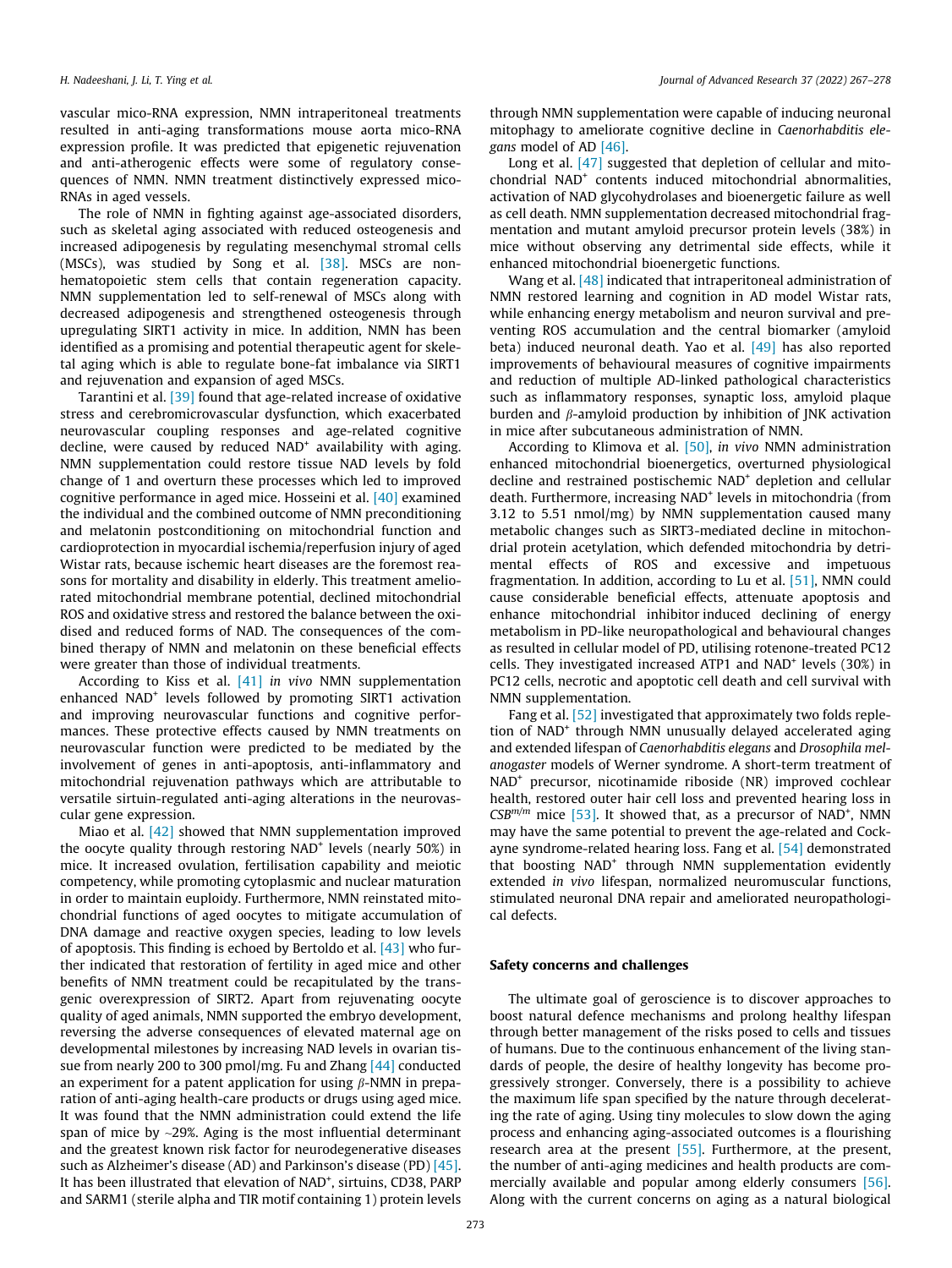vascular mico-RNA expression, NMN intraperitoneal treatments resulted in anti-aging transformations mouse aorta mico-RNA expression profile. It was predicted that epigenetic rejuvenation and anti-atherogenic effects were some of regulatory consequences of NMN. NMN treatment distinctively expressed mico-RNAs in aged vessels.

The role of NMN in fighting against age-associated disorders, such as skeletal aging associated with reduced osteogenesis and increased adipogenesis by regulating mesenchymal stromal cells (MSCs), was studied by Song et al. [\[38\].](#page-9-0) MSCs are nonhematopoietic stem cells that contain regeneration capacity. NMN supplementation led to self-renewal of MSCs along with decreased adipogenesis and strengthened osteogenesis through upregulating SIRT1 activity in mice. In addition, NMN has been identified as a promising and potential therapeutic agent for skeletal aging which is able to regulate bone-fat imbalance via SIRT1 and rejuvenation and expansion of aged MSCs.

Tarantini et al. [\[39\]](#page-9-0) found that age-related increase of oxidative stress and cerebromicrovascular dysfunction, which exacerbated neurovascular coupling responses and age-related cognitive decline, were caused by reduced  $NAD<sup>+</sup>$  availability with aging. NMN supplementation could restore tissue NAD levels by fold change of 1 and overturn these processes which led to improved cognitive performance in aged mice. Hosseini et al. [\[40\]](#page-9-0) examined the individual and the combined outcome of NMN preconditioning and melatonin postconditioning on mitochondrial function and cardioprotection in myocardial ischemia/reperfusion injury of aged Wistar rats, because ischemic heart diseases are the foremost reasons for mortality and disability in elderly. This treatment ameliorated mitochondrial membrane potential, declined mitochondrial ROS and oxidative stress and restored the balance between the oxidised and reduced forms of NAD. The consequences of the combined therapy of NMN and melatonin on these beneficial effects were greater than those of individual treatments.

According to Kiss et al. [\[41\]](#page-9-0) in vivo NMN supplementation enhanced NAD<sup>+</sup> levels followed by promoting SIRT1 activation and improving neurovascular functions and cognitive performances. These protective effects caused by NMN treatments on neurovascular function were predicted to be mediated by the involvement of genes in anti-apoptosis, anti-inflammatory and mitochondrial rejuvenation pathways which are attributable to versatile sirtuin-regulated anti-aging alterations in the neurovascular gene expression.

Miao et al. [\[42\]](#page-10-0) showed that NMN supplementation improved the oocyte quality through restoring NAD<sup>+</sup> levels (nearly 50%) in mice. It increased ovulation, fertilisation capability and meiotic competency, while promoting cytoplasmic and nuclear maturation in order to maintain euploidy. Furthermore, NMN reinstated mitochondrial functions of aged oocytes to mitigate accumulation of DNA damage and reactive oxygen species, leading to low levels of apoptosis. This finding is echoed by Bertoldo et al.  $[43]$  who further indicated that restoration of fertility in aged mice and other benefits of NMN treatment could be recapitulated by the transgenic overexpression of SIRT2. Apart from rejuvenating oocyte quality of aged animals, NMN supported the embryo development, reversing the adverse consequences of elevated maternal age on developmental milestones by increasing NAD levels in ovarian tissue from nearly 200 to 300 pmol/mg. Fu and Zhang [\[44\]](#page-10-0) conducted an experiment for a patent application for using  $\beta$ -NMN in preparation of anti-aging health-care products or drugs using aged mice. It was found that the NMN administration could extend the life span of mice by  $\sim$ 29%. Aging is the most influential determinant and the greatest known risk factor for neurodegenerative diseases such as Alzheimer's disease (AD) and Parkinson's disease (PD) [\[45\].](#page-10-0) It has been illustrated that elevation of NAD<sup>+</sup>, sirtuins, CD38, PARP and SARM1 (sterile alpha and TIR motif containing 1) protein levels through NMN supplementation were capable of inducing neuronal mitophagy to ameliorate cognitive decline in Caenorhabditis elegans model of AD [\[46\]](#page-10-0).

Long et al. [\[47\]](#page-10-0) suggested that depletion of cellular and mitochondrial NAD+ contents induced mitochondrial abnormalities, activation of NAD glycohydrolases and bioenergetic failure as well as cell death. NMN supplementation decreased mitochondrial fragmentation and mutant amyloid precursor protein levels (38%) in mice without observing any detrimental side effects, while it enhanced mitochondrial bioenergetic functions.

Wang et al. [\[48\]](#page-10-0) indicated that intraperitoneal administration of NMN restored learning and cognition in AD model Wistar rats, while enhancing energy metabolism and neuron survival and preventing ROS accumulation and the central biomarker (amyloid beta) induced neuronal death. Yao et al. [\[49\]](#page-10-0) has also reported improvements of behavioural measures of cognitive impairments and reduction of multiple AD-linked pathological characteristics such as inflammatory responses, synaptic loss, amyloid plaque burden and  $\beta$ -amyloid production by inhibition of JNK activation in mice after subcutaneous administration of NMN.

According to Klimova et al. [\[50\],](#page-10-0) in vivo NMN administration enhanced mitochondrial bioenergetics, overturned physiological decline and restrained postischemic NAD<sup>+</sup> depletion and cellular death. Furthermore, increasing NAD<sup>+</sup> levels in mitochondria (from 3.12 to 5.51 nmol/mg) by NMN supplementation caused many metabolic changes such as SIRT3-mediated decline in mitochondrial protein acetylation, which defended mitochondria by detrimental effects of ROS and excessive and impetuous fragmentation. In addition, according to Lu et al. [\[51\],](#page-10-0) NMN could cause considerable beneficial effects, attenuate apoptosis and enhance mitochondrial inhibitor induced declining of energy metabolism in PD-like neuropathological and behavioural changes as resulted in cellular model of PD, utilising rotenone-treated PC12 cells. They investigated increased ATP1 and NAD<sup>+</sup> levels (30%) in PC12 cells, necrotic and apoptotic cell death and cell survival with NMN supplementation.

Fang et al. [\[52\]](#page-10-0) investigated that approximately two folds repletion of NAD+ through NMN unusually delayed accelerated aging and extended lifespan of Caenorhabditis elegans and Drosophila melanogaster models of Werner syndrome. A short-term treatment of NAD+ precursor, nicotinamide riboside (NR) improved cochlear health, restored outer hair cell loss and prevented hearing loss in  $CSB^{m/m}$  mice [\[53\]](#page-10-0). It showed that, as a precursor of NAD<sup>+</sup>, NMN may have the same potential to prevent the age-related and Cockayne syndrome-related hearing loss. Fang et al. [\[54\]](#page-10-0) demonstrated that boosting NAD<sup>+</sup> through NMN supplementation evidently extended in vivo lifespan, normalized neuromuscular functions, stimulated neuronal DNA repair and ameliorated neuropathological defects.

#### Safety concerns and challenges

The ultimate goal of geroscience is to discover approaches to boost natural defence mechanisms and prolong healthy lifespan through better management of the risks posed to cells and tissues of humans. Due to the continuous enhancement of the living standards of people, the desire of healthy longevity has become progressively stronger. Conversely, there is a possibility to achieve the maximum life span specified by the nature through decelerating the rate of aging. Using tiny molecules to slow down the aging process and enhancing aging-associated outcomes is a flourishing research area at the present [\[55\]](#page-10-0). Furthermore, at the present, the number of anti-aging medicines and health products are commercially available and popular among elderly consumers [\[56\].](#page-10-0) Along with the current concerns on aging as a natural biological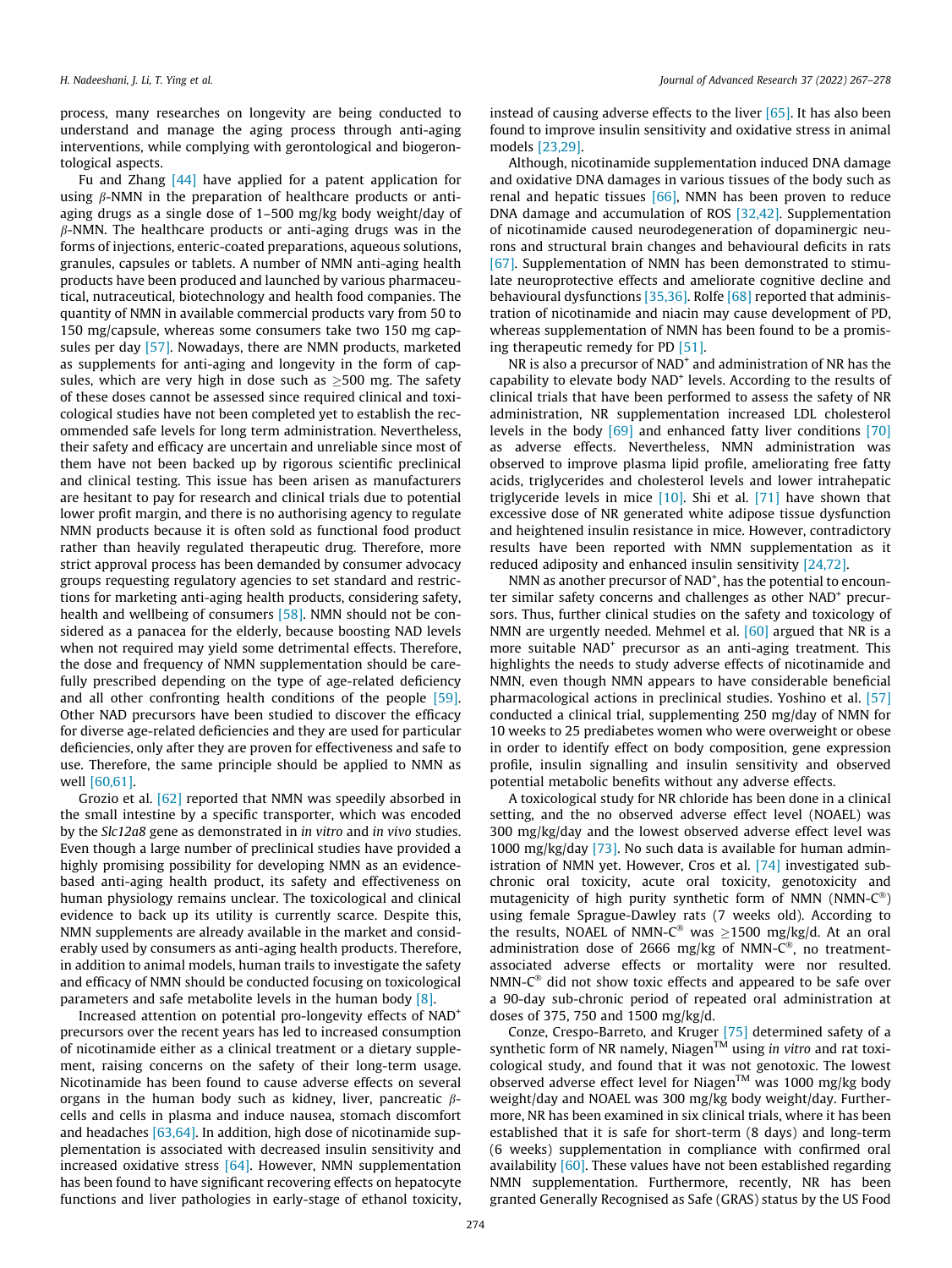process, many researches on longevity are being conducted to understand and manage the aging process through anti-aging interventions, while complying with gerontological and biogerontological aspects.

Fu and Zhang [\[44\]](#page-10-0) have applied for a patent application for using  $\beta$ -NMN in the preparation of healthcare products or antiaging drugs as a single dose of 1–500 mg/kg body weight/day of  $\beta$ -NMN. The healthcare products or anti-aging drugs was in the forms of injections, enteric-coated preparations, aqueous solutions, granules, capsules or tablets. A number of NMN anti-aging health products have been produced and launched by various pharmaceutical, nutraceutical, biotechnology and health food companies. The quantity of NMN in available commercial products vary from 50 to 150 mg/capsule, whereas some consumers take two 150 mg capsules per day [\[57\]](#page-10-0). Nowadays, there are NMN products, marketed as supplements for anti-aging and longevity in the form of capsules, which are very high in dose such as  $>500$  mg. The safety of these doses cannot be assessed since required clinical and toxicological studies have not been completed yet to establish the recommended safe levels for long term administration. Nevertheless, their safety and efficacy are uncertain and unreliable since most of them have not been backed up by rigorous scientific preclinical and clinical testing. This issue has been arisen as manufacturers are hesitant to pay for research and clinical trials due to potential lower profit margin, and there is no authorising agency to regulate NMN products because it is often sold as functional food product rather than heavily regulated therapeutic drug. Therefore, more strict approval process has been demanded by consumer advocacy groups requesting regulatory agencies to set standard and restrictions for marketing anti-aging health products, considering safety, health and wellbeing of consumers [\[58\].](#page-10-0) NMN should not be considered as a panacea for the elderly, because boosting NAD levels when not required may yield some detrimental effects. Therefore, the dose and frequency of NMN supplementation should be carefully prescribed depending on the type of age-related deficiency and all other confronting health conditions of the people [\[59\].](#page-10-0) Other NAD precursors have been studied to discover the efficacy for diverse age-related deficiencies and they are used for particular deficiencies, only after they are proven for effectiveness and safe to use. Therefore, the same principle should be applied to NMN as well [\[60,61\]](#page-10-0).

Grozio et al. [\[62\]](#page-10-0) reported that NMN was speedily absorbed in the small intestine by a specific transporter, which was encoded by the Slc12a8 gene as demonstrated in in vitro and in vivo studies. Even though a large number of preclinical studies have provided a highly promising possibility for developing NMN as an evidencebased anti-aging health product, its safety and effectiveness on human physiology remains unclear. The toxicological and clinical evidence to back up its utility is currently scarce. Despite this, NMN supplements are already available in the market and considerably used by consumers as anti-aging health products. Therefore, in addition to animal models, human trails to investigate the safety and efficacy of NMN should be conducted focusing on toxicological parameters and safe metabolite levels in the human body [\[8\]](#page-9-0).

Increased attention on potential pro-longevity effects of NAD<sup>+</sup> precursors over the recent years has led to increased consumption of nicotinamide either as a clinical treatment or a dietary supplement, raising concerns on the safety of their long-term usage. Nicotinamide has been found to cause adverse effects on several organs in the human body such as kidney, liver, pancreatic  $\beta$ cells and cells in plasma and induce nausea, stomach discomfort and headaches [\[63,64\]](#page-10-0). In addition, high dose of nicotinamide supplementation is associated with decreased insulin sensitivity and increased oxidative stress [\[64\]](#page-10-0). However, NMN supplementation has been found to have significant recovering effects on hepatocyte functions and liver pathologies in early-stage of ethanol toxicity,

instead of causing adverse effects to the liver [\[65\].](#page-10-0) It has also been found to improve insulin sensitivity and oxidative stress in animal models [\[23,29\].](#page-9-0)

Although, nicotinamide supplementation induced DNA damage and oxidative DNA damages in various tissues of the body such as renal and hepatic tissues [\[66\]](#page-10-0), NMN has been proven to reduce DNA damage and accumulation of ROS [\[32,42\].](#page-9-0) Supplementation of nicotinamide caused neurodegeneration of dopaminergic neurons and structural brain changes and behavioural deficits in rats [\[67\]](#page-10-0). Supplementation of NMN has been demonstrated to stimulate neuroprotective effects and ameliorate cognitive decline and behavioural dysfunctions [\[35,36\]](#page-9-0). Rolfe [\[68\]](#page-10-0) reported that administration of nicotinamide and niacin may cause development of PD, whereas supplementation of NMN has been found to be a promising therapeutic remedy for PD [\[51\]](#page-10-0).

NR is also a precursor of NAD<sup>+</sup> and administration of NR has the capability to elevate body NAD+ levels. According to the results of clinical trials that have been performed to assess the safety of NR administration, NR supplementation increased LDL cholesterol levels in the body [\[69\]](#page-10-0) and enhanced fatty liver conditions [\[70\]](#page-10-0) as adverse effects. Nevertheless, NMN administration was observed to improve plasma lipid profile, ameliorating free fatty acids, triglycerides and cholesterol levels and lower intrahepatic triglyceride levels in mice  $[10]$ . Shi et al.  $[71]$  have shown that excessive dose of NR generated white adipose tissue dysfunction and heightened insulin resistance in mice. However, contradictory results have been reported with NMN supplementation as it reduced adiposity and enhanced insulin sensitivity [\[24,72\].](#page-9-0)

NMN as another precursor of NAD<sup>+</sup>, has the potential to encounter similar safety concerns and challenges as other NAD<sup>+</sup> precursors. Thus, further clinical studies on the safety and toxicology of NMN are urgently needed. Mehmel et al. [\[60\]](#page-10-0) argued that NR is a more suitable NAD<sup>+</sup> precursor as an anti-aging treatment. This highlights the needs to study adverse effects of nicotinamide and NMN, even though NMN appears to have considerable beneficial pharmacological actions in preclinical studies. Yoshino et al. [\[57\]](#page-10-0) conducted a clinical trial, supplementing 250 mg/day of NMN for 10 weeks to 25 prediabetes women who were overweight or obese in order to identify effect on body composition, gene expression profile, insulin signalling and insulin sensitivity and observed potential metabolic benefits without any adverse effects.

A toxicological study for NR chloride has been done in a clinical setting, and the no observed adverse effect level (NOAEL) was 300 mg/kg/day and the lowest observed adverse effect level was 1000 mg/kg/day [\[73\]](#page-10-0). No such data is available for human administration of NMN yet. However, Cros et al. [\[74\]](#page-10-0) investigated subchronic oral toxicity, acute oral toxicity, genotoxicity and mutagenicity of high purity synthetic form of NMN (NMN- $C^{\circledast}$ ) using female Sprague-Dawley rats (7 weeks old). According to the results, NOAEL of NMN-C<sup>®</sup> was  $\geq$ 1500 mg/kg/d. At an oral administration dose of 2666 mg/kg of NMN- $C^{\otimes}$ , no treatmentassociated adverse effects or mortality were nor resulted.  $NMN-C<sup>®</sup>$  did not show toxic effects and appeared to be safe over a 90-day sub-chronic period of repeated oral administration at doses of 375, 750 and 1500 mg/kg/d.

Conze, Crespo-Barreto, and Kruger [\[75\]](#page-10-0) determined safety of a synthetic form of NR namely, Niagen $TM$  using in vitro and rat toxicological study, and found that it was not genotoxic. The lowest observed adverse effect level for Niagen<sup>TM</sup> was 1000 mg/kg body weight/day and NOAEL was 300 mg/kg body weight/day. Furthermore, NR has been examined in six clinical trials, where it has been established that it is safe for short-term (8 days) and long-term (6 weeks) supplementation in compliance with confirmed oral availability [\[60\]](#page-10-0). These values have not been established regarding NMN supplementation. Furthermore, recently, NR has been granted Generally Recognised as Safe (GRAS) status by the US Food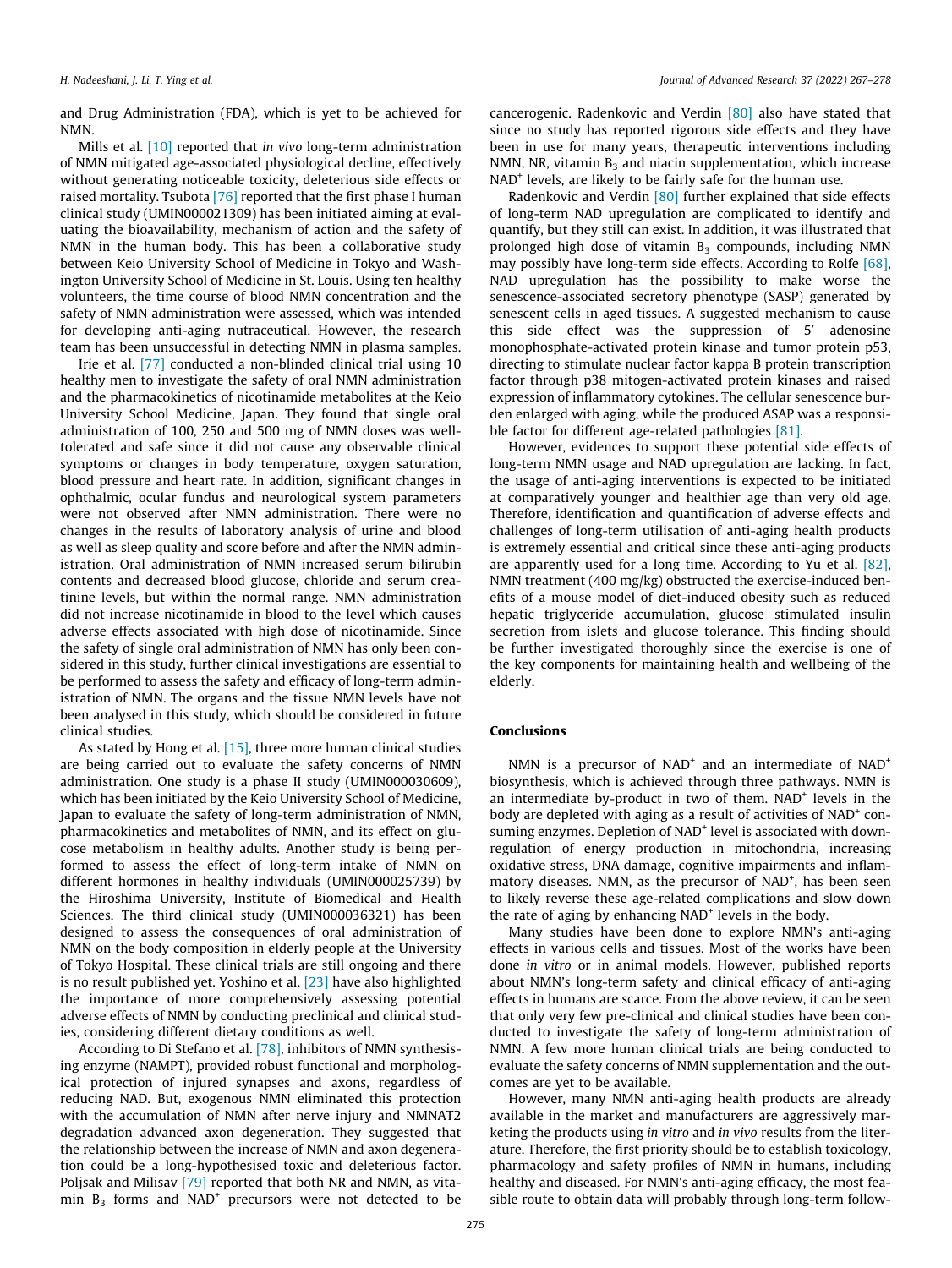and Drug Administration (FDA), which is yet to be achieved for NMN.

Mills et al. [\[10\]](#page-9-0) reported that in vivo long-term administration of NMN mitigated age-associated physiological decline, effectively without generating noticeable toxicity, deleterious side effects or raised mortality. Tsubota [\[76\]](#page-10-0) reported that the first phase I human clinical study (UMIN000021309) has been initiated aiming at evaluating the bioavailability, mechanism of action and the safety of NMN in the human body. This has been a collaborative study between Keio University School of Medicine in Tokyo and Washington University School of Medicine in St. Louis. Using ten healthy volunteers, the time course of blood NMN concentration and the safety of NMN administration were assessed, which was intended for developing anti-aging nutraceutical. However, the research team has been unsuccessful in detecting NMN in plasma samples.

Irie et al. [\[77\]](#page-10-0) conducted a non-blinded clinical trial using 10 healthy men to investigate the safety of oral NMN administration and the pharmacokinetics of nicotinamide metabolites at the Keio University School Medicine, Japan. They found that single oral administration of 100, 250 and 500 mg of NMN doses was welltolerated and safe since it did not cause any observable clinical symptoms or changes in body temperature, oxygen saturation, blood pressure and heart rate. In addition, significant changes in ophthalmic, ocular fundus and neurological system parameters were not observed after NMN administration. There were no changes in the results of laboratory analysis of urine and blood as well as sleep quality and score before and after the NMN administration. Oral administration of NMN increased serum bilirubin contents and decreased blood glucose, chloride and serum creatinine levels, but within the normal range. NMN administration did not increase nicotinamide in blood to the level which causes adverse effects associated with high dose of nicotinamide. Since the safety of single oral administration of NMN has only been considered in this study, further clinical investigations are essential to be performed to assess the safety and efficacy of long-term administration of NMN. The organs and the tissue NMN levels have not been analysed in this study, which should be considered in future clinical studies.

As stated by Hong et al. [\[15\],](#page-9-0) three more human clinical studies are being carried out to evaluate the safety concerns of NMN administration. One study is a phase II study (UMIN000030609), which has been initiated by the Keio University School of Medicine, Japan to evaluate the safety of long-term administration of NMN, pharmacokinetics and metabolites of NMN, and its effect on glucose metabolism in healthy adults. Another study is being performed to assess the effect of long-term intake of NMN on different hormones in healthy individuals (UMIN000025739) by the Hiroshima University, Institute of Biomedical and Health Sciences. The third clinical study (UMIN000036321) has been designed to assess the consequences of oral administration of NMN on the body composition in elderly people at the University of Tokyo Hospital. These clinical trials are still ongoing and there is no result published yet. Yoshino et al. [\[23\]](#page-9-0) have also highlighted the importance of more comprehensively assessing potential adverse effects of NMN by conducting preclinical and clinical studies, considering different dietary conditions as well.

According to Di Stefano et al. [\[78\],](#page-10-0) inhibitors of NMN synthesising enzyme (NAMPT), provided robust functional and morphological protection of injured synapses and axons, regardless of reducing NAD. But, exogenous NMN eliminated this protection with the accumulation of NMN after nerve injury and NMNAT2 degradation advanced axon degeneration. They suggested that the relationship between the increase of NMN and axon degeneration could be a long-hypothesised toxic and deleterious factor. Poljsak and Milisav [\[79\]](#page-10-0) reported that both NR and NMN, as vitamin  $B_3$  forms and NAD<sup>+</sup> precursors were not detected to be

cancerogenic. Radenkovic and Verdin [\[80\]](#page-10-0) also have stated that since no study has reported rigorous side effects and they have been in use for many years, therapeutic interventions including NMN, NR, vitamin  $B_3$  and niacin supplementation, which increase NAD<sup>+</sup> levels, are likely to be fairly safe for the human use.

Radenkovic and Verdin [\[80\]](#page-10-0) further explained that side effects of long-term NAD upregulation are complicated to identify and quantify, but they still can exist. In addition, it was illustrated that prolonged high dose of vitamin  $B_3$  compounds, including NMN may possibly have long-term side effects. According to Rolfe [\[68\],](#page-10-0) NAD upregulation has the possibility to make worse the senescence-associated secretory phenotype (SASP) generated by senescent cells in aged tissues. A suggested mechanism to cause this side effect was the suppression of 5' adenosine monophosphate-activated protein kinase and tumor protein p53, directing to stimulate nuclear factor kappa B protein transcription factor through p38 mitogen-activated protein kinases and raised expression of inflammatory cytokines. The cellular senescence burden enlarged with aging, while the produced ASAP was a responsible factor for different age-related pathologies [\[81\].](#page-10-0)

However, evidences to support these potential side effects of long-term NMN usage and NAD upregulation are lacking. In fact, the usage of anti-aging interventions is expected to be initiated at comparatively younger and healthier age than very old age. Therefore, identification and quantification of adverse effects and challenges of long-term utilisation of anti-aging health products is extremely essential and critical since these anti-aging products are apparently used for a long time. According to Yu et al. [\[82\],](#page-10-0) NMN treatment (400 mg/kg) obstructed the exercise-induced benefits of a mouse model of diet-induced obesity such as reduced hepatic triglyceride accumulation, glucose stimulated insulin secretion from islets and glucose tolerance. This finding should be further investigated thoroughly since the exercise is one of the key components for maintaining health and wellbeing of the elderly.

## Conclusions

NMN is a precursor of  $NAD^+$  and an intermediate of  $NAD^+$ biosynthesis, which is achieved through three pathways. NMN is an intermediate by-product in two of them.  $NAD<sup>+</sup>$  levels in the body are depleted with aging as a result of activities of NAD<sup>+</sup> consuming enzymes. Depletion of NAD<sup>+</sup> level is associated with downregulation of energy production in mitochondria, increasing oxidative stress, DNA damage, cognitive impairments and inflammatory diseases. NMN, as the precursor of NAD<sup>+</sup>, has been seen to likely reverse these age-related complications and slow down the rate of aging by enhancing NAD<sup>+</sup> levels in the body.

Many studies have been done to explore NMN's anti-aging effects in various cells and tissues. Most of the works have been done in vitro or in animal models. However, published reports about NMN's long-term safety and clinical efficacy of anti-aging effects in humans are scarce. From the above review, it can be seen that only very few pre-clinical and clinical studies have been conducted to investigate the safety of long-term administration of NMN. A few more human clinical trials are being conducted to evaluate the safety concerns of NMN supplementation and the outcomes are yet to be available.

However, many NMN anti-aging health products are already available in the market and manufacturers are aggressively marketing the products using in vitro and in vivo results from the literature. Therefore, the first priority should be to establish toxicology, pharmacology and safety profiles of NMN in humans, including healthy and diseased. For NMN's anti-aging efficacy, the most feasible route to obtain data will probably through long-term follow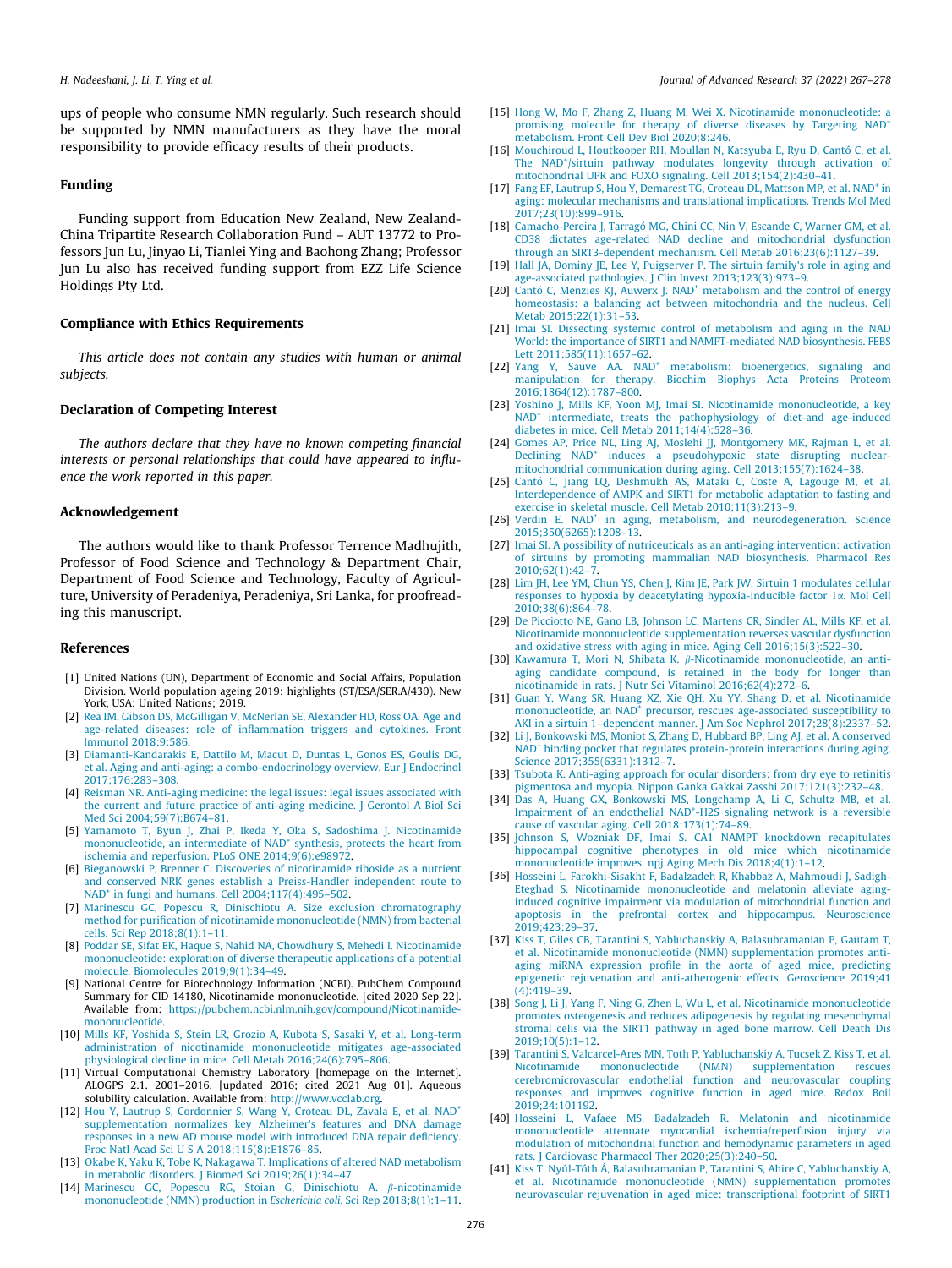<span id="page-9-0"></span>ups of people who consume NMN regularly. Such research should be supported by NMN manufacturers as they have the moral responsibility to provide efficacy results of their products.

## Funding

Funding support from Education New Zealand, New Zealand-China Tripartite Research Collaboration Fund – AUT 13772 to Professors Jun Lu, Jinyao Li, Tianlei Ying and Baohong Zhang; Professor Jun Lu also has received funding support from EZZ Life Science Holdings Pty Ltd.

# Compliance with Ethics Requirements

This article does not contain any studies with human or animal subjects.

# Declaration of Competing Interest

The authors declare that they have no known competing financial interests or personal relationships that could have appeared to influence the work reported in this paper.

# Acknowledgement

The authors would like to thank Professor Terrence Madhujith, Professor of Food Science and Technology & Department Chair, Department of Food Science and Technology, Faculty of Agriculture, University of Peradeniya, Peradeniya, Sri Lanka, for proofreading this manuscript.

#### References

- [1] United Nations (UN), Department of Economic and Social Affairs, Population Division. World population ageing 2019: highlights (ST/ESA/SER.A/430). New York, USA: United Nations; 2019.
- [2] [Rea IM, Gibson DS, McGilligan V, McNerlan SE, Alexander HD, Ross OA. Age and](http://refhub.elsevier.com/S2090-1232(21)00149-1/h0010) [age-related diseases: role of inflammation triggers and cytokines. Front](http://refhub.elsevier.com/S2090-1232(21)00149-1/h0010) [Immunol 2018;9:586.](http://refhub.elsevier.com/S2090-1232(21)00149-1/h0010)
- [3] [Diamanti-Kandarakis E, Dattilo M, Macut D, Duntas L, Gonos ES, Goulis DG,](http://refhub.elsevier.com/S2090-1232(21)00149-1/h0015) [et al. Aging and anti-aging: a combo-endocrinology overview. Eur J Endocrinol](http://refhub.elsevier.com/S2090-1232(21)00149-1/h0015) [2017;176:283–308](http://refhub.elsevier.com/S2090-1232(21)00149-1/h0015).
- [4] [Reisman NR. Anti-aging medicine: the legal issues: legal issues associated with](http://refhub.elsevier.com/S2090-1232(21)00149-1/h0020) [the current and future practice of anti-aging medicine. J Gerontol A Biol Sci](http://refhub.elsevier.com/S2090-1232(21)00149-1/h0020) [Med Sci 2004;59\(7\):B674–81.](http://refhub.elsevier.com/S2090-1232(21)00149-1/h0020)
- [5] [Yamamoto T, Byun J, Zhai P, Ikeda Y, Oka S, Sadoshima J. Nicotinamide](http://refhub.elsevier.com/S2090-1232(21)00149-1/h0025) [mononucleotide,](http://refhub.elsevier.com/S2090-1232(21)00149-1/h0025) [an](http://refhub.elsevier.com/S2090-1232(21)00149-1/h0025) [intermediate](http://refhub.elsevier.com/S2090-1232(21)00149-1/h0025) [of](http://refhub.elsevier.com/S2090-1232(21)00149-1/h0025) NAD<sup>+</sup> [synthesis, protects the heart from](http://refhub.elsevier.com/S2090-1232(21)00149-1/h0025) [ischemia and reperfusion. PLoS ONE 2014;9\(6\):e98972.](http://refhub.elsevier.com/S2090-1232(21)00149-1/h0025)
- [6] [Bieganowski P, Brenner C. Discoveries of nicotinamide riboside as a nutrient](http://refhub.elsevier.com/S2090-1232(21)00149-1/h0030) [and conserved NRK genes establish a Preiss-Handler independent route to](http://refhub.elsevier.com/S2090-1232(21)00149-1/h0030) NAD<sup>+</sup> in fungi and humans. Cell 2004;117(4):495-502.
- [7] [Marinescu GC, Popescu R, Dinischiotu A. Size exclusion chromatography](http://refhub.elsevier.com/S2090-1232(21)00149-1/h0035) [method for purification of nicotinamide mononucleotide \(NMN\) from bacterial](http://refhub.elsevier.com/S2090-1232(21)00149-1/h0035) [cells. Sci Rep 2018;8\(1\):1–11](http://refhub.elsevier.com/S2090-1232(21)00149-1/h0035).
- [8] [Poddar SE, Sifat EK, Haque S, Nahid NA, Chowdhury S, Mehedi I. Nicotinamide](http://refhub.elsevier.com/S2090-1232(21)00149-1/h0040) [mononucleotide: exploration of diverse therapeutic applications of a potential](http://refhub.elsevier.com/S2090-1232(21)00149-1/h0040) [molecule. Biomolecules 2019;9\(1\):34–49.](http://refhub.elsevier.com/S2090-1232(21)00149-1/h0040)
- [9] National Centre for Biotechnology Information (NCBI). PubChem Compound Summary for CID 14180, Nicotinamide mononucleotide. [cited 2020 Sep 22]. Available from: [https://pubchem.ncbi.nlm.nih.gov/compound/Nicotinamide](https://pubchem.ncbi.nlm.nih.gov/compound/Nicotinamide-mononucleotide)[mononucleotide.](https://pubchem.ncbi.nlm.nih.gov/compound/Nicotinamide-mononucleotide)
- [10] [Mills KF, Yoshida S, Stein LR, Grozio A, Kubota S, Sasaki Y, et al. Long-term](http://refhub.elsevier.com/S2090-1232(21)00149-1/h0050) [administration of nicotinamide mononucleotide mitigates age-associated](http://refhub.elsevier.com/S2090-1232(21)00149-1/h0050) [physiological decline in mice. Cell Metab 2016;24\(6\):795–806.](http://refhub.elsevier.com/S2090-1232(21)00149-1/h0050)
- [11] Virtual Computational Chemistry Laboratory [homepage on the Internet]. ALOGPS 2.1. 2001–2016. [updated 2016; cited 2021 Aug 01]. Aqueous solubility calculation. Available from: [http://www.vcclab.org.](http://www.vcclab.org)
- [12] [Hou](http://refhub.elsevier.com/S2090-1232(21)00149-1/h0060) [Y,](http://refhub.elsevier.com/S2090-1232(21)00149-1/h0060) [Lautrup](http://refhub.elsevier.com/S2090-1232(21)00149-1/h0060) [S,](http://refhub.elsevier.com/S2090-1232(21)00149-1/h0060) [Cordonnier](http://refhub.elsevier.com/S2090-1232(21)00149-1/h0060) S, [Wang](http://refhub.elsevier.com/S2090-1232(21)00149-1/h0060) Y, [Croteau](http://refhub.elsevier.com/S2090-1232(21)00149-1/h0060) [DL,](http://refhub.elsevier.com/S2090-1232(21)00149-1/h0060) [Zavala](http://refhub.elsevier.com/S2090-1232(21)00149-1/h0060) [E,](http://refhub.elsevier.com/S2090-1232(21)00149-1/h0060) [et](http://refhub.elsevier.com/S2090-1232(21)00149-1/h0060) [al.](http://refhub.elsevier.com/S2090-1232(21)00149-1/h0060) NAD<sup>+</sup> [supplementation normalizes key Alzheimer's features and DNA damage](http://refhub.elsevier.com/S2090-1232(21)00149-1/h0060) [responses in a new AD mouse model with introduced DNA repair deficiency.](http://refhub.elsevier.com/S2090-1232(21)00149-1/h0060) [Proc Natl Acad Sci U S A 2018;115\(8\):E1876–85.](http://refhub.elsevier.com/S2090-1232(21)00149-1/h0060)
- [13] [Okabe K, Yaku K, Tobe K, Nakagawa T. Implications of altered NAD metabolism](http://refhub.elsevier.com/S2090-1232(21)00149-1/h0065) [in metabolic disorders. J Biomed Sci 2019;26\(1\):34–47](http://refhub.elsevier.com/S2090-1232(21)00149-1/h0065).
- [14] [Marinescu GC, Popescu RG, Stoian G, Dinischiotu A.](http://refhub.elsevier.com/S2090-1232(21)00149-1/h0070)  $\beta$ -nicotinamide [mononucleotide \(NMN\) production in](http://refhub.elsevier.com/S2090-1232(21)00149-1/h0070) Escherichia coli. Sci Rep 2018;8(1):1–11.
- [15] [Hong W, Mo F, Zhang Z, Huang M, Wei X. Nicotinamide mononucleotide: a](http://refhub.elsevier.com/S2090-1232(21)00149-1/h0075) [promising](http://refhub.elsevier.com/S2090-1232(21)00149-1/h0075) [molecule](http://refhub.elsevier.com/S2090-1232(21)00149-1/h0075) [for](http://refhub.elsevier.com/S2090-1232(21)00149-1/h0075) [therapy](http://refhub.elsevier.com/S2090-1232(21)00149-1/h0075) [of](http://refhub.elsevier.com/S2090-1232(21)00149-1/h0075) [diverse](http://refhub.elsevier.com/S2090-1232(21)00149-1/h0075) [diseases](http://refhub.elsevier.com/S2090-1232(21)00149-1/h0075) [by](http://refhub.elsevier.com/S2090-1232(21)00149-1/h0075) [Targeting](http://refhub.elsevier.com/S2090-1232(21)00149-1/h0075) NAD<sup>+</sup> [metabolism. Front Cell Dev Biol 2020;8:246.](http://refhub.elsevier.com/S2090-1232(21)00149-1/h0075)
- [16] [Mouchiroud L, Houtkooper RH, Moullan N, Katsyuba E, Ryu D, Cantó C, et al.](http://refhub.elsevier.com/S2090-1232(21)00149-1/h0080) The NAD<sup>+</sup>[/sirtuin pathway modulates longevity through activation of](http://refhub.elsevier.com/S2090-1232(21)00149-1/h0080) [mitochondrial UPR and FOXO signaling. Cell 2013;154\(2\):430–41](http://refhub.elsevier.com/S2090-1232(21)00149-1/h0080).
- [17] Fang EF, Lautrup S, Hou Y, Demarest TG, Croteau DL, Mattson MP, et al. NAD<sup>+</sup> [in](http://refhub.elsevier.com/S2090-1232(21)00149-1/h0085) [aging: molecular mechanisms and translational implications. Trends Mol Med](http://refhub.elsevier.com/S2090-1232(21)00149-1/h0085) [2017;23\(10\):899–916.](http://refhub.elsevier.com/S2090-1232(21)00149-1/h0085)
- [18] [Camacho-Pereira J, Tarragó MG, Chini CC, Nin V, Escande C, Warner GM, et al.](http://refhub.elsevier.com/S2090-1232(21)00149-1/h0090) [CD38 dictates age-related NAD decline and mitochondrial dysfunction](http://refhub.elsevier.com/S2090-1232(21)00149-1/h0090) [through an SIRT3-dependent mechanism. Cell Metab 2016;23\(6\):1127–39](http://refhub.elsevier.com/S2090-1232(21)00149-1/h0090).
- [19] [Hall JA, Dominy JE, Lee Y, Puigserver P. The sirtuin family's role in aging and](http://refhub.elsevier.com/S2090-1232(21)00149-1/h0095) [age-associated pathologies. J Clin Invest 2013;123\(3\):973–9.](http://refhub.elsevier.com/S2090-1232(21)00149-1/h0095)
- [20] [Cantó](http://refhub.elsevier.com/S2090-1232(21)00149-1/h0100) [C,](http://refhub.elsevier.com/S2090-1232(21)00149-1/h0100) [Menzies](http://refhub.elsevier.com/S2090-1232(21)00149-1/h0100) [KJ,](http://refhub.elsevier.com/S2090-1232(21)00149-1/h0100) [Auwerx](http://refhub.elsevier.com/S2090-1232(21)00149-1/h0100) [J.](http://refhub.elsevier.com/S2090-1232(21)00149-1/h0100) NAD<sup>+</sup> [metabolism and the control of energy](http://refhub.elsevier.com/S2090-1232(21)00149-1/h0100) [homeostasis: a balancing act between mitochondria and the nucleus. Cell](http://refhub.elsevier.com/S2090-1232(21)00149-1/h0100) [Metab 2015;22\(1\):31–53.](http://refhub.elsevier.com/S2090-1232(21)00149-1/h0100)
- [21] [Imai SI. Dissecting systemic control of metabolism and aging in the NAD](http://refhub.elsevier.com/S2090-1232(21)00149-1/h0105) [World: the importance of SIRT1 and NAMPT-mediated NAD biosynthesis. FEBS](http://refhub.elsevier.com/S2090-1232(21)00149-1/h0105) [Lett 2011;585\(11\):1657–62](http://refhub.elsevier.com/S2090-1232(21)00149-1/h0105).
- [22] [Yang](http://refhub.elsevier.com/S2090-1232(21)00149-1/h0110) [Y,](http://refhub.elsevier.com/S2090-1232(21)00149-1/h0110) [Sauve](http://refhub.elsevier.com/S2090-1232(21)00149-1/h0110) [AA.](http://refhub.elsevier.com/S2090-1232(21)00149-1/h0110) NAD<sup>+</sup> [metabolism: bioenergetics, signaling and](http://refhub.elsevier.com/S2090-1232(21)00149-1/h0110) [manipulation for therapy. Biochim Biophys Acta Proteins Proteom](http://refhub.elsevier.com/S2090-1232(21)00149-1/h0110) [2016;1864\(12\):1787–800](http://refhub.elsevier.com/S2090-1232(21)00149-1/h0110).
- [23] [Yoshino J, Mills KF, Yoon MJ, Imai SI. Nicotinamide mononucleotide, a key](http://refhub.elsevier.com/S2090-1232(21)00149-1/h0115) NAD<sup>+</sup> [intermediate, treats the pathophysiology of diet-and age-induced](http://refhub.elsevier.com/S2090-1232(21)00149-1/h0115) [diabetes in mice. Cell Metab 2011;14\(4\):528–36.](http://refhub.elsevier.com/S2090-1232(21)00149-1/h0115)
- [24] [Gomes AP, Price NL, Ling AJ, Moslehi JJ, Montgomery MK, Rajman L, et al.](http://refhub.elsevier.com/S2090-1232(21)00149-1/h0120) [Declining](http://refhub.elsevier.com/S2090-1232(21)00149-1/h0120) NAD<sup>+</sup> [induces a pseudohypoxic state disrupting nuclear](http://refhub.elsevier.com/S2090-1232(21)00149-1/h0120)[mitochondrial communication during aging. Cell 2013;155\(7\):1624–38](http://refhub.elsevier.com/S2090-1232(21)00149-1/h0120).
- [25] [Cantó C, Jiang LQ, Deshmukh AS, Mataki C, Coste A, Lagouge M, et al.](http://refhub.elsevier.com/S2090-1232(21)00149-1/h0125) [Interdependence of AMPK and SIRT1 for metabolic adaptation to fasting and](http://refhub.elsevier.com/S2090-1232(21)00149-1/h0125) [exercise in skeletal muscle. Cell Metab 2010;11\(3\):213–9](http://refhub.elsevier.com/S2090-1232(21)00149-1/h0125).
- [26] [Verdin](http://refhub.elsevier.com/S2090-1232(21)00149-1/h0130) [E.](http://refhub.elsevier.com/S2090-1232(21)00149-1/h0130) [NAD](http://refhub.elsevier.com/S2090-1232(21)00149-1/h0130)<sup>+</sup> [in aging, metabolism, and neurodegeneration. Science](http://refhub.elsevier.com/S2090-1232(21)00149-1/h0130) [2015;350\(6265\):1208–13](http://refhub.elsevier.com/S2090-1232(21)00149-1/h0130).
- [27] [Imai SI. A possibility of nutriceuticals as an anti-aging intervention: activation](http://refhub.elsevier.com/S2090-1232(21)00149-1/h0135) [of sirtuins by promoting mammalian NAD biosynthesis. Pharmacol Res](http://refhub.elsevier.com/S2090-1232(21)00149-1/h0135) [2010;62\(1\):42–7](http://refhub.elsevier.com/S2090-1232(21)00149-1/h0135).
- [28] [Lim JH, Lee YM, Chun YS, Chen J, Kim JE, Park JW. Sirtuin 1 modulates cellular](http://refhub.elsevier.com/S2090-1232(21)00149-1/h0140) [responses to hypoxia by deacetylating hypoxia-inducible factor 1](http://refhub.elsevier.com/S2090-1232(21)00149-1/h0140)a. Mol Cell [2010;38\(6\):864–78](http://refhub.elsevier.com/S2090-1232(21)00149-1/h0140).
- [29] [De Picciotto NE, Gano LB, Johnson LC, Martens CR, Sindler AL, Mills KF, et al.](http://refhub.elsevier.com/S2090-1232(21)00149-1/h0145) [Nicotinamide mononucleotide supplementation reverses vascular dysfunction](http://refhub.elsevier.com/S2090-1232(21)00149-1/h0145) [and oxidative stress with aging in mice. Aging Cell 2016;15\(3\):522–30.](http://refhub.elsevier.com/S2090-1232(21)00149-1/h0145)
- [30] Kawamura T, Mori N, Shibata K, B[-Nicotinamide mononucleotide, an anti](http://refhub.elsevier.com/S2090-1232(21)00149-1/h0150)[aging candidate compound, is retained in the body for longer than](http://refhub.elsevier.com/S2090-1232(21)00149-1/h0150) [nicotinamide in rats. J Nutr Sci Vitaminol 2016;62\(4\):272–6](http://refhub.elsevier.com/S2090-1232(21)00149-1/h0150).
- [31] [Guan Y, Wang SR, Huang XZ, Xie QH, Xu YY, Shang D, et al. Nicotinamide](http://refhub.elsevier.com/S2090-1232(21)00149-1/h0155) [mononucleotide,](http://refhub.elsevier.com/S2090-1232(21)00149-1/h0155) [an](http://refhub.elsevier.com/S2090-1232(21)00149-1/h0155) NAD<sup>+</sup> [precursor, rescues age-associated susceptibility to](http://refhub.elsevier.com/S2090-1232(21)00149-1/h0155) [AKI in a sirtuin 1–dependent manner. J Am Soc Nephrol 2017;28\(8\):2337–52](http://refhub.elsevier.com/S2090-1232(21)00149-1/h0155).
- [32] [Li J, Bonkowski MS, Moniot S, Zhang D, Hubbard BP, Ling AJ, et al. A conserved](http://refhub.elsevier.com/S2090-1232(21)00149-1/h0160) NAD<sup>+</sup> [binding pocket that regulates protein-protein interactions during aging.](http://refhub.elsevier.com/S2090-1232(21)00149-1/h0160) [Science 2017;355\(6331\):1312–7](http://refhub.elsevier.com/S2090-1232(21)00149-1/h0160).
- [33] [Tsubota K. Anti-aging approach for ocular disorders: from dry eye to retinitis](http://refhub.elsevier.com/S2090-1232(21)00149-1/h0165) [pigmentosa and myopia. Nippon Ganka Gakkai Zasshi 2017;121\(3\):232–48](http://refhub.elsevier.com/S2090-1232(21)00149-1/h0165).
- [34] [Das A, Huang GX, Bonkowski MS, Longchamp A, Li C, Schultz MB, et al.](http://refhub.elsevier.com/S2090-1232(21)00149-1/h0170) [Impairment](http://refhub.elsevier.com/S2090-1232(21)00149-1/h0170) [of](http://refhub.elsevier.com/S2090-1232(21)00149-1/h0170) [an](http://refhub.elsevier.com/S2090-1232(21)00149-1/h0170) [endothelial](http://refhub.elsevier.com/S2090-1232(21)00149-1/h0170) NAD<sup>+</sup>[-H2S signaling network is a reversible](http://refhub.elsevier.com/S2090-1232(21)00149-1/h0170) [cause of vascular aging. Cell 2018;173\(1\):74–89.](http://refhub.elsevier.com/S2090-1232(21)00149-1/h0170)
- [35] [Johnson S, Wozniak DF, Imai S. CA1 NAMPT knockdown recapitulates](http://refhub.elsevier.com/S2090-1232(21)00149-1/h0175) [hippocampal cognitive phenotypes in old mice which nicotinamide](http://refhub.elsevier.com/S2090-1232(21)00149-1/h0175) mononucleotide improves. npj Aging Mech Dis 2018;4(1):1-12.
- [36] [Hosseini L, Farokhi-Sisakht F, Badalzadeh R, Khabbaz A, Mahmoudi J, Sadigh-](http://refhub.elsevier.com/S2090-1232(21)00149-1/h0180)[Eteghad S. Nicotinamide mononucleotide and melatonin alleviate aging](http://refhub.elsevier.com/S2090-1232(21)00149-1/h0180)[induced cognitive impairment via modulation of mitochondrial function and](http://refhub.elsevier.com/S2090-1232(21)00149-1/h0180) [apoptosis in the prefrontal cortex and hippocampus. Neuroscience](http://refhub.elsevier.com/S2090-1232(21)00149-1/h0180) [2019;423:29–37.](http://refhub.elsevier.com/S2090-1232(21)00149-1/h0180)
- [37] [Kiss T, Giles CB, Tarantini S, Yabluchanskiy A, Balasubramanian P, Gautam T,](http://refhub.elsevier.com/S2090-1232(21)00149-1/h0185) [et al. Nicotinamide mononucleotide \(NMN\) supplementation promotes anti](http://refhub.elsevier.com/S2090-1232(21)00149-1/h0185)[aging miRNA expression profile in the aorta of aged mice, predicting](http://refhub.elsevier.com/S2090-1232(21)00149-1/h0185) [epigenetic rejuvenation and anti-atherogenic effects. Geroscience 2019;41](http://refhub.elsevier.com/S2090-1232(21)00149-1/h0185) [\(4\):419–39](http://refhub.elsevier.com/S2090-1232(21)00149-1/h0185).
- [38] [Song J, Li J, Yang F, Ning G, Zhen L, Wu L, et al. Nicotinamide mononucleotide](http://refhub.elsevier.com/S2090-1232(21)00149-1/h0190) [promotes osteogenesis and reduces adipogenesis by regulating mesenchymal](http://refhub.elsevier.com/S2090-1232(21)00149-1/h0190) [stromal cells via the SIRT1 pathway in aged bone marrow. Cell Death Dis](http://refhub.elsevier.com/S2090-1232(21)00149-1/h0190) [2019;10\(5\):1–12](http://refhub.elsevier.com/S2090-1232(21)00149-1/h0190).
- [39] [Tarantini S, Valcarcel-Ares MN, Toth P, Yabluchanskiy A, Tucsek Z, Kiss T, et al.](http://refhub.elsevier.com/S2090-1232(21)00149-1/h0195) [Nicotinamide mononucleotide \(NMN\) supplementation rescues](http://refhub.elsevier.com/S2090-1232(21)00149-1/h0195) [cerebromicrovascular endothelial function and neurovascular coupling](http://refhub.elsevier.com/S2090-1232(21)00149-1/h0195) [responses and improves cognitive function in aged mice. Redox Boil](http://refhub.elsevier.com/S2090-1232(21)00149-1/h0195) [2019;24:101192](http://refhub.elsevier.com/S2090-1232(21)00149-1/h0195).
- [40] [Hosseini L, Vafaee MS, Badalzadeh R. Melatonin and nicotinamide](http://refhub.elsevier.com/S2090-1232(21)00149-1/h0200) [mononucleotide attenuate myocardial ischemia/reperfusion injury via](http://refhub.elsevier.com/S2090-1232(21)00149-1/h0200) [modulation of mitochondrial function and hemodynamic parameters in aged](http://refhub.elsevier.com/S2090-1232(21)00149-1/h0200) [rats. J Cardiovasc Pharmacol Ther 2020;25\(3\):240–50.](http://refhub.elsevier.com/S2090-1232(21)00149-1/h0200)
- [41] [Kiss T, Nyúl-Tóth Á, Balasubramanian P, Tarantini S, Ahire C, Yabluchanskiy A,](http://refhub.elsevier.com/S2090-1232(21)00149-1/h0205) [et al. Nicotinamide mononucleotide \(NMN\) supplementation promotes](http://refhub.elsevier.com/S2090-1232(21)00149-1/h0205) [neurovascular rejuvenation in aged mice: transcriptional footprint of SIRT1](http://refhub.elsevier.com/S2090-1232(21)00149-1/h0205)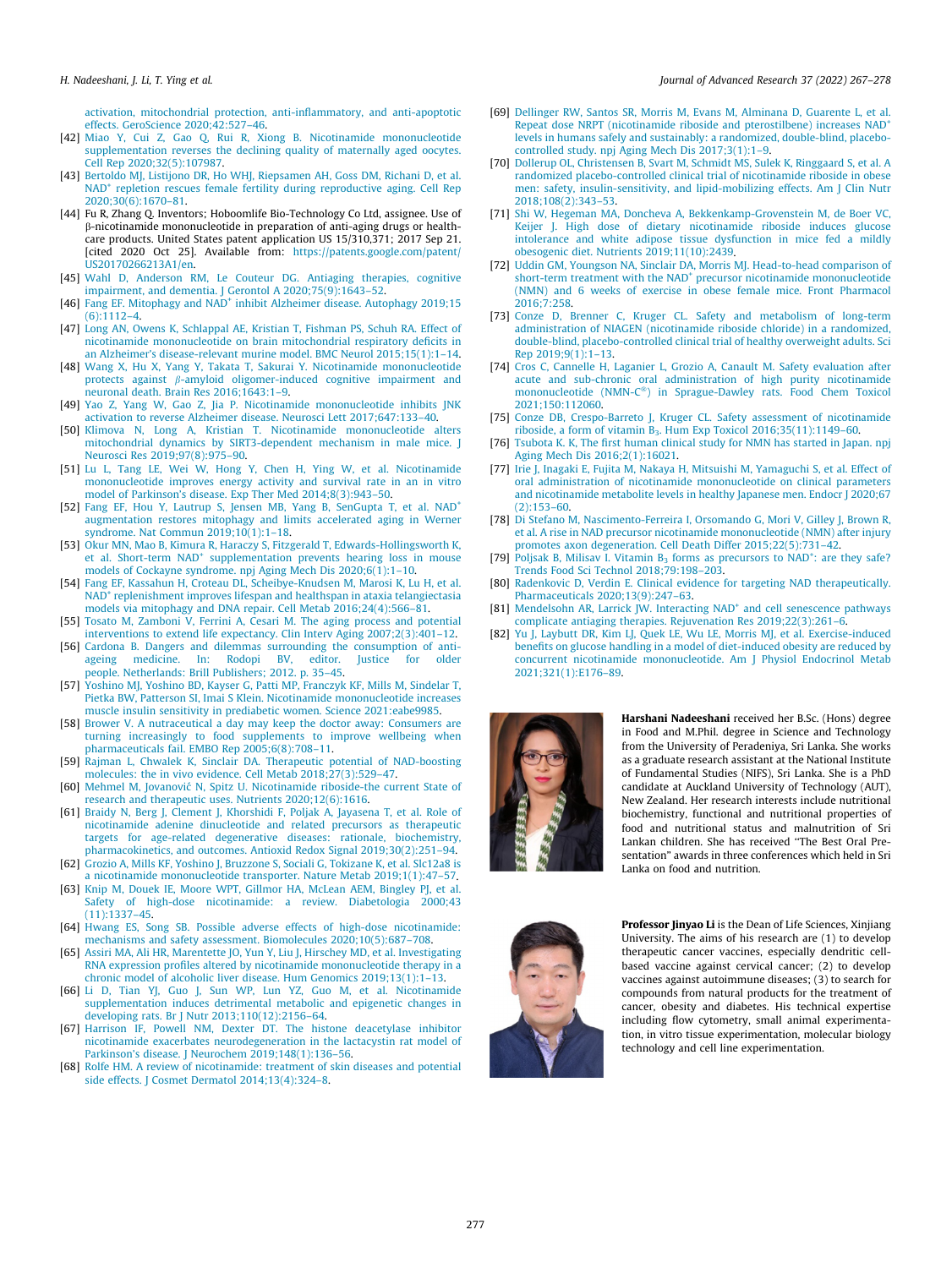<span id="page-10-0"></span>[activation, mitochondrial protection, anti-inflammatory, and anti-apoptotic](http://refhub.elsevier.com/S2090-1232(21)00149-1/h0205) [effects. GeroScience 2020;42:527–46.](http://refhub.elsevier.com/S2090-1232(21)00149-1/h0205)

- [42] [Miao Y, Cui Z, Gao Q, Rui R, Xiong B. Nicotinamide mononucleotide](http://refhub.elsevier.com/S2090-1232(21)00149-1/h0210) [supplementation reverses the declining quality of maternally aged oocytes.](http://refhub.elsevier.com/S2090-1232(21)00149-1/h0210) [Cell Rep 2020;32\(5\):107987.](http://refhub.elsevier.com/S2090-1232(21)00149-1/h0210)
- [43] [Bertoldo MJ, Listijono DR, Ho WHJ, Riepsamen AH, Goss DM, Richani D, et al.](http://refhub.elsevier.com/S2090-1232(21)00149-1/h0215) NAD<sup>+</sup> [repletion rescues female fertility during reproductive aging. Cell Rep](http://refhub.elsevier.com/S2090-1232(21)00149-1/h0215) [2020;30\(6\):1670–81.](http://refhub.elsevier.com/S2090-1232(21)00149-1/h0215)
- [44] Fu R, Zhang Q. Inventors; Hoboomlife Bio-Technology Co Ltd, assignee. Use of b-nicotinamide mononucleotide in preparation of anti-aging drugs or healthcare products. United States patent application US 15/310,371; 2017 Sep 21. [cited 2020 Oct 25]. Available from: [https://patents.google.com/patent/](https://patents.google.com/patent/US20170266213A1/en) [US20170266213A1/en.](https://patents.google.com/patent/US20170266213A1/en)
- [45] [Wahl D, Anderson RM, Le Couteur DG. Antiaging therapies, cognitive](http://refhub.elsevier.com/S2090-1232(21)00149-1/h0225) [impairment, and dementia. J Gerontol A 2020;75\(9\):1643–52](http://refhub.elsevier.com/S2090-1232(21)00149-1/h0225).
- [46] [Fang](http://refhub.elsevier.com/S2090-1232(21)00149-1/h0230) [EF.](http://refhub.elsevier.com/S2090-1232(21)00149-1/h0230) [Mitophagy](http://refhub.elsevier.com/S2090-1232(21)00149-1/h0230) [and](http://refhub.elsevier.com/S2090-1232(21)00149-1/h0230) NAD<sup>+</sup> [inhibit Alzheimer disease. Autophagy 2019;15](http://refhub.elsevier.com/S2090-1232(21)00149-1/h0230) [\(6\):1112–4](http://refhub.elsevier.com/S2090-1232(21)00149-1/h0230).
- [47] [Long AN, Owens K, Schlappal AE, Kristian T, Fishman PS, Schuh RA. Effect of](http://refhub.elsevier.com/S2090-1232(21)00149-1/h0235) [nicotinamide mononucleotide on brain mitochondrial respiratory deficits in](http://refhub.elsevier.com/S2090-1232(21)00149-1/h0235) [an Alzheimer's disease-relevant murine model. BMC Neurol 2015;15\(1\):1–14](http://refhub.elsevier.com/S2090-1232(21)00149-1/h0235).
- [48] [Wang X, Hu X, Yang Y, Takata T, Sakurai Y. Nicotinamide mononucleotide](http://refhub.elsevier.com/S2090-1232(21)00149-1/h0240) protects against  $\beta$ [-amyloid oligomer-induced cognitive impairment and](http://refhub.elsevier.com/S2090-1232(21)00149-1/h0240) [neuronal death. Brain Res 2016;1643:1–9](http://refhub.elsevier.com/S2090-1232(21)00149-1/h0240).
- [49] [Yao Z, Yang W, Gao Z, Jia P. Nicotinamide mononucleotide inhibits JNK](http://refhub.elsevier.com/S2090-1232(21)00149-1/h0245) [activation to reverse Alzheimer disease. Neurosci Lett 2017;647:133–40](http://refhub.elsevier.com/S2090-1232(21)00149-1/h0245).
- [50] [Klimova N, Long A, Kristian T. Nicotinamide mononucleotide alters](http://refhub.elsevier.com/S2090-1232(21)00149-1/h0250) [mitochondrial dynamics by SIRT3-dependent mechanism in male mice. J](http://refhub.elsevier.com/S2090-1232(21)00149-1/h0250) [Neurosci Res 2019;97\(8\):975–90](http://refhub.elsevier.com/S2090-1232(21)00149-1/h0250).
- [51] [Lu L, Tang LE, Wei W, Hong Y, Chen H, Ying W, et al. Nicotinamide](http://refhub.elsevier.com/S2090-1232(21)00149-1/h0255) [mononucleotide improves energy activity and survival rate in an in vitro](http://refhub.elsevier.com/S2090-1232(21)00149-1/h0255) [model of Parkinson's disease. Exp Ther Med 2014;8\(3\):943–50](http://refhub.elsevier.com/S2090-1232(21)00149-1/h0255).
- [52] [Fang](http://refhub.elsevier.com/S2090-1232(21)00149-1/h0260) [EF,](http://refhub.elsevier.com/S2090-1232(21)00149-1/h0260) [Hou](http://refhub.elsevier.com/S2090-1232(21)00149-1/h0260) [Y,](http://refhub.elsevier.com/S2090-1232(21)00149-1/h0260) [Lautrup](http://refhub.elsevier.com/S2090-1232(21)00149-1/h0260) [S,](http://refhub.elsevier.com/S2090-1232(21)00149-1/h0260) [Jensen](http://refhub.elsevier.com/S2090-1232(21)00149-1/h0260) [MB,](http://refhub.elsevier.com/S2090-1232(21)00149-1/h0260) [Yang](http://refhub.elsevier.com/S2090-1232(21)00149-1/h0260) [B,](http://refhub.elsevier.com/S2090-1232(21)00149-1/h0260) [SenGupta](http://refhub.elsevier.com/S2090-1232(21)00149-1/h0260) [T,](http://refhub.elsevier.com/S2090-1232(21)00149-1/h0260) [et](http://refhub.elsevier.com/S2090-1232(21)00149-1/h0260) [al.](http://refhub.elsevier.com/S2090-1232(21)00149-1/h0260) NAD<sup>+</sup> [augmentation restores mitophagy and limits accelerated aging in Werner](http://refhub.elsevier.com/S2090-1232(21)00149-1/h0260) [syndrome. Nat Commun 2019;10\(1\):1–18](http://refhub.elsevier.com/S2090-1232(21)00149-1/h0260).
- [53] [Okur MN, Mao B, Kimura R, Haraczy S, Fitzgerald T, Edwards-Hollingsworth K,](http://refhub.elsevier.com/S2090-1232(21)00149-1/h0265) [et](http://refhub.elsevier.com/S2090-1232(21)00149-1/h0265) [al.](http://refhub.elsevier.com/S2090-1232(21)00149-1/h0265) [Short-term](http://refhub.elsevier.com/S2090-1232(21)00149-1/h0265) [NAD](http://refhub.elsevier.com/S2090-1232(21)00149-1/h0265)<sup>+</sup> [supplementation prevents hearing loss in mouse](http://refhub.elsevier.com/S2090-1232(21)00149-1/h0265) [models of Cockayne syndrome. npj Aging Mech Dis 2020;6\(1\):1–10](http://refhub.elsevier.com/S2090-1232(21)00149-1/h0265). [54] [Fang EF, Kassahun H, Croteau DL, Scheibye-Knudsen M, Marosi K, Lu H, et al.](http://refhub.elsevier.com/S2090-1232(21)00149-1/h0270)
- NAD<sup>+</sup> [replenishment improves lifespan and healthspan in ataxia telangiectasia](http://refhub.elsevier.com/S2090-1232(21)00149-1/h0270) [models via mitophagy and DNA repair. Cell Metab 2016;24\(4\):566–81.](http://refhub.elsevier.com/S2090-1232(21)00149-1/h0270)
- [55] [Tosato M, Zamboni V, Ferrini A, Cesari M. The aging process and potential](http://refhub.elsevier.com/S2090-1232(21)00149-1/h0275) [interventions to extend life expectancy. Clin Interv Aging 2007;2\(3\):401–12.](http://refhub.elsevier.com/S2090-1232(21)00149-1/h0275)
- [56] [Cardona B. Dangers and dilemmas surrounding the consumption of anti](http://refhub.elsevier.com/S2090-1232(21)00149-1/h0280)[ageing medicine. In: Rodopi BV, editor. Justice for older](http://refhub.elsevier.com/S2090-1232(21)00149-1/h0280) [people. Netherlands: Brill Publishers; 2012. p. 35–45](http://refhub.elsevier.com/S2090-1232(21)00149-1/h0280).
- [57] [Yoshino MJ, Yoshino BD, Kayser G, Patti MP, Franczyk KF, Mills M, Sindelar T,](http://refhub.elsevier.com/S2090-1232(21)00149-1/h0285) [Pietka BW, Patterson SI, Imai S Klein. Nicotinamide mononucleotide increases](http://refhub.elsevier.com/S2090-1232(21)00149-1/h0285) [muscle insulin sensitivity in prediabetic women. Science 2021:eabe9985.](http://refhub.elsevier.com/S2090-1232(21)00149-1/h0285)
- [58] [Brower V. A nutraceutical a day may keep the doctor away: Consumers are](http://refhub.elsevier.com/S2090-1232(21)00149-1/h0290) [turning increasingly to food supplements to improve wellbeing when](http://refhub.elsevier.com/S2090-1232(21)00149-1/h0290) [pharmaceuticals fail. EMBO Rep 2005;6\(8\):708–11](http://refhub.elsevier.com/S2090-1232(21)00149-1/h0290).
- [59] [Rajman L, Chwalek K, Sinclair DA. Therapeutic potential of NAD-boosting](http://refhub.elsevier.com/S2090-1232(21)00149-1/h0295) [molecules: the in vivo evidence. Cell Metab 2018;27\(3\):529–47](http://refhub.elsevier.com/S2090-1232(21)00149-1/h0295).
- [60] Mehmel M, Jovanovic´ [N, Spitz U. Nicotinamide riboside-the current State of](http://refhub.elsevier.com/S2090-1232(21)00149-1/h0300) [research and therapeutic uses. Nutrients 2020;12\(6\):1616](http://refhub.elsevier.com/S2090-1232(21)00149-1/h0300).
- [61] [Braidy N, Berg J, Clement J, Khorshidi F, Poljak A, Jayasena T, et al. Role of](http://refhub.elsevier.com/S2090-1232(21)00149-1/h0305) [nicotinamide adenine dinucleotide and related precursors as therapeutic](http://refhub.elsevier.com/S2090-1232(21)00149-1/h0305) [targets for age-related degenerative diseases: rationale, biochemistry,](http://refhub.elsevier.com/S2090-1232(21)00149-1/h0305) [pharmacokinetics, and outcomes. Antioxid Redox Signal 2019;30\(2\):251–94.](http://refhub.elsevier.com/S2090-1232(21)00149-1/h0305)
- [62] [Grozio A, Mills KF, Yoshino J, Bruzzone S, Sociali G, Tokizane K, et al. Slc12a8 is](http://refhub.elsevier.com/S2090-1232(21)00149-1/h0310) [a nicotinamide mononucleotide transporter. Nature Metab 2019;1\(1\):47–57.](http://refhub.elsevier.com/S2090-1232(21)00149-1/h0310)
- [63] [Knip M, Douek IE, Moore WPT, Gillmor HA, McLean AEM, Bingley PJ, et al.](http://refhub.elsevier.com/S2090-1232(21)00149-1/h0315) [Safety of high-dose nicotinamide: a review. Diabetologia 2000;43](http://refhub.elsevier.com/S2090-1232(21)00149-1/h0315) [\(11\):1337–45.](http://refhub.elsevier.com/S2090-1232(21)00149-1/h0315)
- [64] [Hwang ES, Song SB. Possible adverse effects of high-dose nicotinamide:](http://refhub.elsevier.com/S2090-1232(21)00149-1/h0320) [mechanisms and safety assessment. Biomolecules 2020;10\(5\):687–708.](http://refhub.elsevier.com/S2090-1232(21)00149-1/h0320)
- [65] [Assiri MA, Ali HR, Marentette JO, Yun Y, Liu J, Hirschey MD, et al. Investigating](http://refhub.elsevier.com/S2090-1232(21)00149-1/h0325) [RNA expression profiles altered by nicotinamide mononucleotide therapy in a](http://refhub.elsevier.com/S2090-1232(21)00149-1/h0325) [chronic model of alcoholic liver disease. Hum Genomics 2019;13\(1\):1–13.](http://refhub.elsevier.com/S2090-1232(21)00149-1/h0325)
- [66] [Li D, Tian YJ, Guo J, Sun WP, Lun YZ, Guo M, et al. Nicotinamide](http://refhub.elsevier.com/S2090-1232(21)00149-1/h0330) [supplementation induces detrimental metabolic and epigenetic changes in](http://refhub.elsevier.com/S2090-1232(21)00149-1/h0330) [developing rats. Br J Nutr 2013;110\(12\):2156–64](http://refhub.elsevier.com/S2090-1232(21)00149-1/h0330).
- [67] [Harrison IF, Powell NM, Dexter DT. The histone deacetylase inhibitor](http://refhub.elsevier.com/S2090-1232(21)00149-1/h0335) [nicotinamide exacerbates neurodegeneration in the lactacystin rat model of](http://refhub.elsevier.com/S2090-1232(21)00149-1/h0335) [Parkinson's disease. J Neurochem 2019;148\(1\):136–56.](http://refhub.elsevier.com/S2090-1232(21)00149-1/h0335)
- [68] [Rolfe HM. A review of nicotinamide: treatment of skin diseases and potential](http://refhub.elsevier.com/S2090-1232(21)00149-1/h0340) [side effects. J Cosmet Dermatol 2014;13\(4\):324–8](http://refhub.elsevier.com/S2090-1232(21)00149-1/h0340).
- [69] [Dellinger RW, Santos SR, Morris M, Evans M, Alminana D, Guarente L, et al.](http://refhub.elsevier.com/S2090-1232(21)00149-1/h0345) [Repeat](http://refhub.elsevier.com/S2090-1232(21)00149-1/h0345) [dose](http://refhub.elsevier.com/S2090-1232(21)00149-1/h0345) [NRPT](http://refhub.elsevier.com/S2090-1232(21)00149-1/h0345) [\(nicotinamide](http://refhub.elsevier.com/S2090-1232(21)00149-1/h0345) [riboside](http://refhub.elsevier.com/S2090-1232(21)00149-1/h0345) [and](http://refhub.elsevier.com/S2090-1232(21)00149-1/h0345) [pterostilbene\)](http://refhub.elsevier.com/S2090-1232(21)00149-1/h0345) [increases](http://refhub.elsevier.com/S2090-1232(21)00149-1/h0345) NAD<sup>+</sup> [levels in humans safely and sustainably: a randomized, double-blind, placebo](http://refhub.elsevier.com/S2090-1232(21)00149-1/h0345)[controlled study. npj Aging Mech Dis 2017;3\(1\):1–9](http://refhub.elsevier.com/S2090-1232(21)00149-1/h0345).
- [70] [Dollerup OL, Christensen B, Svart M, Schmidt MS, Sulek K, Ringgaard S, et al. A](http://refhub.elsevier.com/S2090-1232(21)00149-1/h0350) [randomized placebo-controlled clinical trial of nicotinamide riboside in obese](http://refhub.elsevier.com/S2090-1232(21)00149-1/h0350) [men: safety, insulin-sensitivity, and lipid-mobilizing effects. Am J Clin Nutr](http://refhub.elsevier.com/S2090-1232(21)00149-1/h0350) [2018;108\(2\):343–53.](http://refhub.elsevier.com/S2090-1232(21)00149-1/h0350)
- [71] [Shi W, Hegeman MA, Doncheva A, Bekkenkamp-Grovenstein M, de Boer VC,](http://refhub.elsevier.com/S2090-1232(21)00149-1/h0355) [Keijer J. High dose of dietary nicotinamide riboside induces glucose](http://refhub.elsevier.com/S2090-1232(21)00149-1/h0355) [intolerance and white adipose tissue dysfunction in mice fed a mildly](http://refhub.elsevier.com/S2090-1232(21)00149-1/h0355) [obesogenic diet. Nutrients 2019;11\(10\):2439](http://refhub.elsevier.com/S2090-1232(21)00149-1/h0355).
- [72] [Uddin GM, Youngson NA, Sinclair DA, Morris MJ. Head-to-head comparison of](http://refhub.elsevier.com/S2090-1232(21)00149-1/h0360) [short-term](http://refhub.elsevier.com/S2090-1232(21)00149-1/h0360) [treatment](http://refhub.elsevier.com/S2090-1232(21)00149-1/h0360) [with](http://refhub.elsevier.com/S2090-1232(21)00149-1/h0360) [the](http://refhub.elsevier.com/S2090-1232(21)00149-1/h0360) [NAD](http://refhub.elsevier.com/S2090-1232(21)00149-1/h0360)<sup>+</sup> [precursor nicotinamide mononucleotide](http://refhub.elsevier.com/S2090-1232(21)00149-1/h0360) [\(NMN\) and 6 weeks of exercise in obese female mice. Front Pharmacol](http://refhub.elsevier.com/S2090-1232(21)00149-1/h0360)  $2016.7.258$
- [73] [Conze D, Brenner C, Kruger CL. Safety and metabolism of long-term](http://refhub.elsevier.com/S2090-1232(21)00149-1/h0365) [administration of NIAGEN \(nicotinamide riboside chloride\) in a randomized,](http://refhub.elsevier.com/S2090-1232(21)00149-1/h0365) [double-blind, placebo-controlled clinical trial of healthy overweight adults. Sci](http://refhub.elsevier.com/S2090-1232(21)00149-1/h0365) [Rep 2019;9\(1\):1–13](http://refhub.elsevier.com/S2090-1232(21)00149-1/h0365).
- [74] [Cros C, Cannelle H, Laganier L, Grozio A, Canault M. Safety evaluation after](http://refhub.elsevier.com/S2090-1232(21)00149-1/h0370) [acute and sub-chronic oral administration of high purity nicotinamide](http://refhub.elsevier.com/S2090-1232(21)00149-1/h0370) [mononucleotide](http://refhub.elsevier.com/S2090-1232(21)00149-1/h0370) [\(NMN-C](http://refhub.elsevier.com/S2090-1232(21)00149-1/h0370)®[\) in Sprague-Dawley rats. Food Chem Toxicol](http://refhub.elsevier.com/S2090-1232(21)00149-1/h0370) [2021;150:112060](http://refhub.elsevier.com/S2090-1232(21)00149-1/h0370).
- [75] [Conze DB, Crespo-Barreto J, Kruger CL. Safety assessment of nicotinamide](http://refhub.elsevier.com/S2090-1232(21)00149-1/h0375) riboside, a form of vitamin  $B_3$ . Hum Exp Toxicol 2016;35(11):1149-60.
- [76] [Tsubota K. K, The first human clinical study for NMN has started in Japan. npj](http://refhub.elsevier.com/S2090-1232(21)00149-1/h0380) [Aging Mech Dis 2016;2\(1\):16021](http://refhub.elsevier.com/S2090-1232(21)00149-1/h0380).
- [77] [Irie J, Inagaki E, Fujita M, Nakaya H, Mitsuishi M, Yamaguchi S, et al. Effect of](http://refhub.elsevier.com/S2090-1232(21)00149-1/h0385) [oral administration of nicotinamide mononucleotide on clinical parameters](http://refhub.elsevier.com/S2090-1232(21)00149-1/h0385) [and nicotinamide metabolite levels in healthy Japanese men. Endocr J 2020;67](http://refhub.elsevier.com/S2090-1232(21)00149-1/h0385) [\(2\):153–60.](http://refhub.elsevier.com/S2090-1232(21)00149-1/h0385)
- [78] [Di Stefano M, Nascimento-Ferreira I, Orsomando G, Mori V, Gilley J, Brown R,](http://refhub.elsevier.com/S2090-1232(21)00149-1/h0390) [et al. A rise in NAD precursor nicotinamide mononucleotide \(NMN\) after injury](http://refhub.elsevier.com/S2090-1232(21)00149-1/h0390) [promotes axon degeneration. Cell Death Differ 2015;22\(5\):731–42](http://refhub.elsevier.com/S2090-1232(21)00149-1/h0390).
- [79] Poljsak B, Milisav I. Vitamin  $B_3$  [forms](http://refhub.elsevier.com/S2090-1232(21)00149-1/h0395) [as](http://refhub.elsevier.com/S2090-1232(21)00149-1/h0395) [precursors](http://refhub.elsevier.com/S2090-1232(21)00149-1/h0395) [to](http://refhub.elsevier.com/S2090-1232(21)00149-1/h0395) NAD<sup>+</sup>[: are they safe?](http://refhub.elsevier.com/S2090-1232(21)00149-1/h0395) [Trends Food Sci Technol 2018;79:198–203](http://refhub.elsevier.com/S2090-1232(21)00149-1/h0395).
- [80] [Radenkovic D, Verdin E. Clinical evidence for targeting NAD therapeutically.](http://refhub.elsevier.com/S2090-1232(21)00149-1/h0400) [Pharmaceuticals 2020;13\(9\):247–63.](http://refhub.elsevier.com/S2090-1232(21)00149-1/h0400)
- [81] Mendelsohn AR, Larrick JW. Interacting NAD<sup>+</sup> [and cell senescence pathways](http://refhub.elsevier.com/S2090-1232(21)00149-1/h0405) [complicate antiaging therapies. Rejuvenation Res 2019;22\(3\):261–6](http://refhub.elsevier.com/S2090-1232(21)00149-1/h0405).
- [82] [Yu J, Laybutt DR, Kim LJ, Quek LE, Wu LE, Morris MJ, et al. Exercise-induced](http://refhub.elsevier.com/S2090-1232(21)00149-1/h0410) [benefits on glucose handling in a model of diet-induced obesity are reduced by](http://refhub.elsevier.com/S2090-1232(21)00149-1/h0410) [concurrent nicotinamide mononucleotide. Am J Physiol Endocrinol Metab](http://refhub.elsevier.com/S2090-1232(21)00149-1/h0410) [2021;321\(1\):E176–89.](http://refhub.elsevier.com/S2090-1232(21)00149-1/h0410)



Harshani Nadeeshani received her B.Sc. (Hons) degree in Food and M.Phil. degree in Science and Technology from the University of Peradeniya, Sri Lanka. She works as a graduate research assistant at the National Institute of Fundamental Studies (NIFS), Sri Lanka. She is a PhD candidate at Auckland University of Technology (AUT), New Zealand. Her research interests include nutritional biochemistry, functional and nutritional properties of food and nutritional status and malnutrition of Sri Lankan children. She has received ''The Best Oral Presentation" awards in three conferences which held in Sri Lanka on food and nutrition.



Professor Jinyao Li is the Dean of Life Sciences, Xinjiang University. The aims of his research are (1) to develop therapeutic cancer vaccines, especially dendritic cellbased vaccine against cervical cancer; (2) to develop vaccines against autoimmune diseases; (3) to search for compounds from natural products for the treatment of cancer, obesity and diabetes. His technical expertise including flow cytometry, small animal experimentation, in vitro tissue experimentation, molecular biology technology and cell line experimentation.